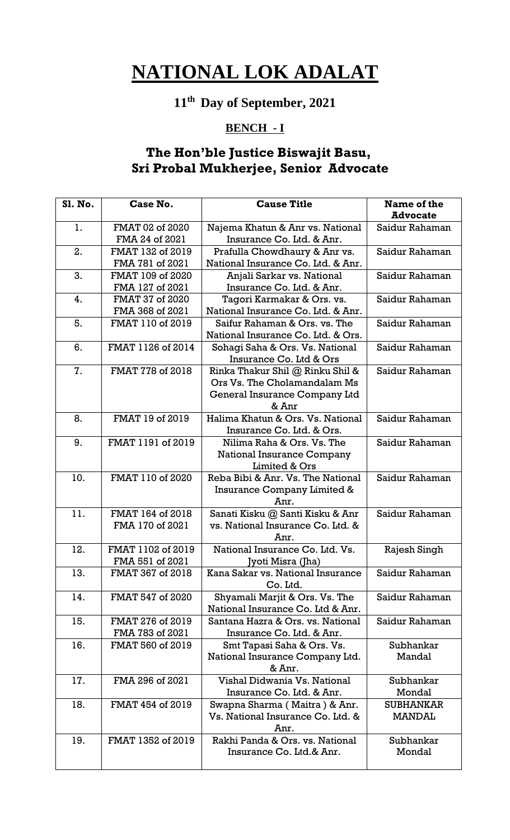## **11th Day of September, 2021**

#### **BENCH - I**

#### **The Hon'ble Justice Biswajit Basu, Sri Probal Mukherjee, Senior Advocate**

| Sl. No. | Case No.          | <b>Cause Title</b>                                                    | Name of the      |
|---------|-------------------|-----------------------------------------------------------------------|------------------|
|         |                   |                                                                       | <b>Advocate</b>  |
| 1.      | FMAT 02 of 2020   | Najema Khatun & Anr vs. National                                      | Saidur Rahaman   |
|         | FMA 24 of 2021    | Insurance Co. Ltd. & Anr.                                             |                  |
| 2.      | FMAT 132 of 2019  | Prafulla Chowdhaury & Anr vs.                                         | Saidur Rahaman   |
|         | FMA 781 of 2021   | National Insurance Co. Ltd. & Anr.                                    |                  |
| 3.      | FMAT 109 of 2020  | Anjali Sarkar vs. National                                            | Saidur Rahaman   |
|         | FMA 127 of 2021   | Insurance Co. Ltd. & Anr.                                             |                  |
| 4.      | FMAT 37 of 2020   | Tagori Karmakar & Ors. vs.                                            | Saidur Rahaman   |
|         | FMA 368 of 2021   | National Insurance Co. Ltd. & Anr.                                    |                  |
| 5.      | FMAT 110 of 2019  | Saifur Rahaman & Ors. vs. The                                         | Saidur Rahaman   |
|         |                   | National Insurance Co. Ltd. & Ors.                                    |                  |
| 6.      | FMAT 1126 of 2014 | Sohagi Saha & Ors. Vs. National                                       | Saidur Rahaman   |
|         |                   | Insurance Co. Ltd & Ors                                               |                  |
| 7.      | FMAT 778 of 2018  | Rinka Thakur Shil @ Rinku Shil &                                      | Saidur Rahaman   |
|         |                   | Ors Vs. The Cholamandalam Ms                                          |                  |
|         |                   | General Insurance Company Ltd                                         |                  |
|         |                   | & Anr                                                                 |                  |
| 8.      | FMAT 19 of 2019   | Halima Khatun & Ors. Vs. National                                     | Saidur Rahaman   |
|         |                   | Insurance Co. Ltd. & Ors.                                             |                  |
| 9.      | FMAT 1191 of 2019 | Nilima Raha & Ors. Vs. The                                            | Saidur Rahaman   |
|         |                   | <b>National Insurance Company</b>                                     |                  |
|         |                   | Limited & Ors                                                         |                  |
| 10.     | FMAT 110 of 2020  | Reba Bibi & Anr. Vs. The National                                     | Saidur Rahaman   |
|         |                   | Insurance Company Limited &                                           |                  |
| 11.     | FMAT 164 of 2018  | Anr.                                                                  | Saidur Rahaman   |
|         | FMA 170 of 2021   | Sanati Kisku @ Santi Kisku & Anr<br>vs. National Insurance Co. Ltd. & |                  |
|         |                   | Anr.                                                                  |                  |
| 12.     | FMAT 1102 of 2019 | National Insurance Co. Ltd. Vs.                                       | Rajesh Singh     |
|         | FMA 551 of 2021   | Jyoti Misra (Jha)                                                     |                  |
| 13.     | FMAT 367 of 2018  | Kana Sakar vs. National Insurance                                     | Saidur Rahaman   |
|         |                   | Co. Ltd.                                                              |                  |
| 14.     | FMAT 547 of 2020  | Shyamali Marjit & Ors. Vs. The                                        | Saidur Rahaman   |
|         |                   | National Insurance Co. Ltd & Anr.                                     |                  |
| 15.     | FMAT 276 of 2019  | Santana Hazra & Ors. vs. National                                     | Saidur Rahaman   |
|         | FMA 783 of 2021   | Insurance Co. Ltd. & Anr.                                             |                  |
| 16.     | FMAT 560 of 2019  | Smt Tapasi Saha & Ors. Vs.                                            | Subhankar        |
|         |                   | National Insurance Company Ltd.                                       | Mandal           |
|         |                   | & Anr.                                                                |                  |
| 17.     | FMA 296 of 2021   | Vishal Didwania Vs. National                                          | Subhankar        |
|         |                   | Insurance Co. Ltd. & Anr.                                             | Mondal           |
| 18.     | FMAT 454 of 2019  | Swapna Sharma (Maitra) & Anr.                                         | <b>SUBHANKAR</b> |
|         |                   | Vs. National Insurance Co. Ltd. &                                     | MANDAL           |
|         |                   | Anr.                                                                  |                  |
| 19.     | FMAT 1352 of 2019 | Rakhi Panda & Ors. vs. National                                       | Subhankar        |
|         |                   | Insurance Co. Ltd.& Anr.                                              | Mondal           |
|         |                   |                                                                       |                  |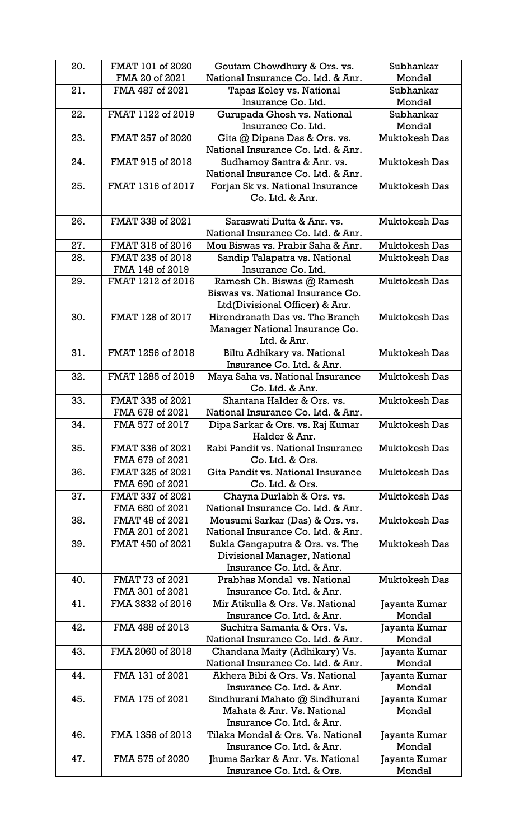| 20. | FMAT 101 of 2020  | Goutam Chowdhury & Ors. vs.                                           | Subhankar               |
|-----|-------------------|-----------------------------------------------------------------------|-------------------------|
|     | FMA 20 of 2021    | National Insurance Co. Ltd. & Anr.                                    | Mondal                  |
| 21. | FMA 487 of 2021   | Tapas Koley vs. National                                              | Subhankar               |
|     |                   | Insurance Co. Ltd.                                                    | Mondal                  |
| 22. | FMAT 1122 of 2019 | Gurupada Ghosh vs. National                                           | Subhankar               |
|     |                   | Insurance Co. Ltd.                                                    | Mondal                  |
| 23. | FMAT 257 of 2020  | Gita @ Dipana Das & Ors. vs.                                          | <b>Muktokesh Das</b>    |
|     |                   | National Insurance Co. Ltd. & Anr.                                    |                         |
| 24. | FMAT 915 of 2018  | Sudhamoy Santra & Anr. vs.                                            | <b>Muktokesh Das</b>    |
|     |                   | National Insurance Co. Ltd. & Anr.                                    |                         |
| 25. | FMAT 1316 of 2017 | Forjan Sk vs. National Insurance                                      | <b>Muktokesh Das</b>    |
|     |                   | Co. Ltd. & Anr.                                                       |                         |
|     |                   |                                                                       |                         |
| 26. | FMAT 338 of 2021  | Saraswati Dutta & Anr. vs.                                            | <b>Muktokesh Das</b>    |
|     |                   | National Insurance Co. Ltd. & Anr.                                    |                         |
| 27. | FMAT 315 of 2016  | Mou Biswas vs. Prabir Saha & Anr.                                     | <b>Muktokesh Das</b>    |
| 28. | FMAT 235 of 2018  | Sandip Talapatra vs. National                                         | <b>Muktokesh Das</b>    |
|     | FMA 148 of 2019   | Insurance Co. Ltd.                                                    |                         |
| 29. | FMAT 1212 of 2016 | Ramesh Ch. Biswas @ Ramesh                                            | <b>Muktokesh Das</b>    |
|     |                   | Biswas vs. National Insurance Co.                                     |                         |
|     |                   | Ltd(Divisional Officer) & Anr.                                        |                         |
| 30. | FMAT 128 of 2017  | Hirendranath Das vs. The Branch                                       | <b>Muktokesh Das</b>    |
|     |                   | Manager National Insurance Co.                                        |                         |
|     |                   | Ltd. & Anr.                                                           |                         |
| 31. | FMAT 1256 of 2018 | Biltu Adhikary vs. National                                           | <b>Muktokesh Das</b>    |
|     |                   | Insurance Co. Ltd. & Anr.                                             |                         |
| 32. | FMAT 1285 of 2019 | Maya Saha vs. National Insurance                                      | <b>Muktokesh Das</b>    |
|     |                   | Co. Ltd. & Anr.                                                       |                         |
| 33. | FMAT 335 of 2021  | Shantana Halder & Ors. vs.                                            | <b>Muktokesh Das</b>    |
|     | FMA 678 of 2021   | National Insurance Co. Ltd. & Anr.                                    |                         |
| 34. | FMA 577 of 2017   | Dipa Sarkar & Ors. vs. Raj Kumar                                      | <b>Muktokesh Das</b>    |
|     |                   | Halder & Anr.                                                         |                         |
| 35. | FMAT 336 of 2021  | Rabi Pandit vs. National Insurance                                    | <b>Muktokesh Das</b>    |
|     | FMA 679 of 2021   | Co. Ltd. & Ors.                                                       |                         |
| 36. | FMAT 325 of 2021  | Gita Pandit vs. National Insurance                                    | <b>Muktokesh Das</b>    |
|     | FMA 690 of 2021   | Co. Ltd. & Ors.                                                       |                         |
| 37. | FMAT 337 of 2021  | Chayna Durlabh & Ors. vs.                                             | <b>Muktokesh Das</b>    |
|     | FMA 680 of 2021   | National Insurance Co. Ltd. & Anr.                                    |                         |
| 38. | FMAT 48 of 2021   | Mousumi Sarkar (Das) & Ors. vs.                                       | <b>Muktokesh Das</b>    |
|     | FMA 201 of 2021   | National Insurance Co. Ltd. & Anr.                                    |                         |
| 39. | FMAT 450 of 2021  | Sukla Gangaputra & Ors. vs. The                                       | <b>Muktokesh Das</b>    |
|     |                   | Divisional Manager, National                                          |                         |
|     |                   | Insurance Co. Ltd. & Anr.                                             |                         |
| 40. | FMAT 73 of 2021   | Prabhas Mondal vs. National                                           | Muktokesh Das           |
|     | FMA 301 of 2021   | Insurance Co. Ltd. & Anr.                                             |                         |
| 41. | FMA 3832 of 2016  | Mir Atikulla & Ors. Vs. National                                      | Jayanta Kumar           |
|     |                   | Insurance Co. Ltd. & Anr.                                             | Mondal                  |
| 42. | FMA 488 of 2013   | Suchitra Samanta & Ors. Vs.                                           | Jayanta Kumar           |
|     |                   | National Insurance Co. Ltd. & Anr.                                    | Mondal                  |
| 43. | FMA 2060 of 2018  | Chandana Maity (Adhikary) Vs.                                         | Jayanta Kumar           |
| 44. | FMA 131 of 2021   | National Insurance Co. Ltd. & Anr.<br>Akhera Bibi & Ors. Vs. National | Mondal                  |
|     |                   | Insurance Co. Ltd. & Anr.                                             | Jayanta Kumar<br>Mondal |
| 45. | FMA 175 of 2021   | Sindhurani Mahato @ Sindhurani                                        |                         |
|     |                   | Mahata & Anr. Vs. National                                            | Jayanta Kumar<br>Mondal |
|     |                   | Insurance Co. Ltd. & Anr.                                             |                         |
| 46. | FMA 1356 of 2013  | Tilaka Mondal & Ors. Vs. National                                     | Jayanta Kumar           |
|     |                   | Insurance Co. Ltd. & Anr.                                             | Mondal                  |
| 47. | FMA 575 of 2020   | Jhuma Sarkar & Anr. Vs. National                                      | Jayanta Kumar           |
|     |                   | Insurance Co. Ltd. & Ors.                                             | Mondal                  |
|     |                   |                                                                       |                         |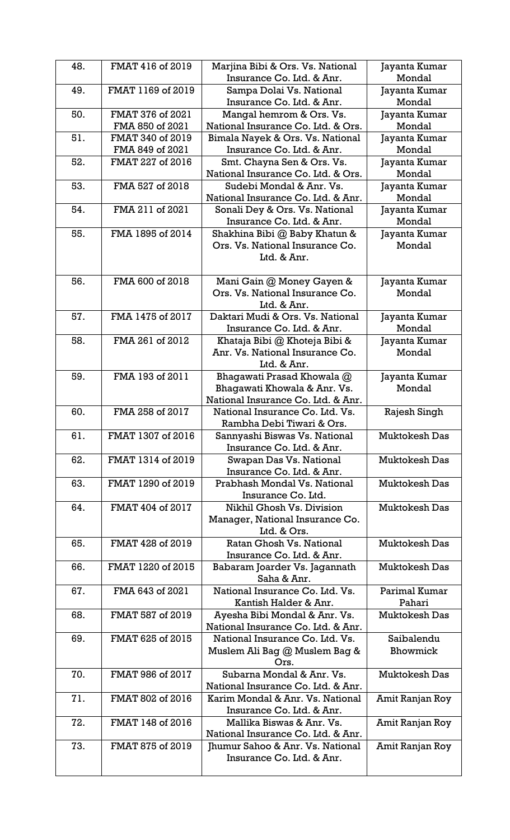| 48. | FMAT 416 of 2019  | Marjina Bibi & Ors. Vs. National   | Jayanta Kumar<br>Mondal |
|-----|-------------------|------------------------------------|-------------------------|
|     |                   | Insurance Co. Ltd. & Anr.          |                         |
| 49. | FMAT 1169 of 2019 | Sampa Dolai Vs. National           | Jayanta Kumar           |
|     |                   | Insurance Co. Ltd. & Anr.          | Mondal                  |
| 50. | FMAT 376 of 2021  | Mangal hemrom & Ors. Vs.           | Jayanta Kumar           |
|     | FMA 850 of 2021   | National Insurance Co. Ltd. & Ors. | Mondal                  |
| 51. | FMAT 340 of 2019  | Bimala Nayek & Ors. Vs. National   | Jayanta Kumar           |
|     | FMA 849 of 2021   | Insurance Co. Ltd. & Anr.          | Mondal                  |
| 52. | FMAT 227 of 2016  | Smt. Chayna Sen & Ors. Vs.         | Jayanta Kumar           |
|     |                   | National Insurance Co. Ltd. & Ors. | Mondal                  |
| 53. | FMA 527 of 2018   | Sudebi Mondal & Anr. Vs.           | Jayanta Kumar           |
|     |                   | National Insurance Co. Ltd. & Anr. | Mondal                  |
| 54. | FMA 211 of 2021   | Sonali Dey & Ors. Vs. National     | Jayanta Kumar           |
|     |                   | Insurance Co. Ltd. & Anr.          | Mondal                  |
| 55. | FMA 1895 of 2014  | Shakhina Bibi @ Baby Khatun &      | Jayanta Kumar           |
|     |                   | Ors. Vs. National Insurance Co.    | Mondal                  |
|     |                   | Ltd. & Anr.                        |                         |
|     |                   |                                    |                         |
| 56. | FMA 600 of 2018   | Mani Gain @ Money Gayen &          | Jayanta Kumar           |
|     |                   | Ors. Vs. National Insurance Co.    | Mondal                  |
|     |                   | Ltd. & Anr.                        |                         |
| 57. | FMA 1475 of 2017  | Daktari Mudi & Ors. Vs. National   | Jayanta Kumar           |
|     |                   | Insurance Co. Ltd. & Anr.          | Mondal                  |
| 58. | FMA 261 of 2012   | Khataja Bibi @ Khoteja Bibi &      | Jayanta Kumar           |
|     |                   | Anr. Vs. National Insurance Co.    | Mondal                  |
|     |                   | Ltd. & Anr.                        |                         |
| 59. | FMA 193 of 2011   | Bhagawati Prasad Khowala @         | Jayanta Kumar           |
|     |                   | Bhagawati Khowala & Anr. Vs.       | Mondal                  |
|     |                   | National Insurance Co. Ltd. & Anr. |                         |
| 60. | FMA 258 of 2017   | National Insurance Co. Ltd. Vs.    |                         |
|     |                   | Rambha Debi Tiwari & Ors.          | Rajesh Singh            |
|     |                   |                                    |                         |
| 61. | FMAT 1307 of 2016 | Sannyashi Biswas Vs. National      | <b>Muktokesh Das</b>    |
|     |                   | Insurance Co. Ltd. & Anr.          |                         |
| 62. | FMAT 1314 of 2019 | Swapan Das Vs. National            | <b>Muktokesh Das</b>    |
|     |                   | Insurance Co. Ltd. & Anr.          |                         |
| 63. | FMAT 1290 of 2019 | Prabhash Mondal Vs. National       | <b>Muktokesh Das</b>    |
|     |                   | Insurance Co. Ltd.                 |                         |
| 64. | FMAT 404 of 2017  | Nikhil Ghosh Vs. Division          | <b>Muktokesh Das</b>    |
|     |                   | Manager, National Insurance Co.    |                         |
|     |                   | Ltd. & Ors.                        |                         |
| 65. | FMAT 428 of 2019  | Ratan Ghosh Vs. National           | <b>Muktokesh Das</b>    |
|     |                   | Insurance Co. Ltd. & Anr.          |                         |
| 66. | FMAT 1220 of 2015 | Babaram Joarder Vs. Jagannath      | <b>Muktokesh Das</b>    |
|     |                   | Saha & Anr.                        |                         |
| 67. | FMA 643 of 2021   | National Insurance Co. Ltd. Vs.    | Parimal Kumar           |
|     |                   | Kantish Halder & Anr.              | Pahari                  |
| 68. | FMAT 587 of 2019  | Ayesha Bibi Mondal & Anr. Vs.      | <b>Muktokesh Das</b>    |
|     |                   | National Insurance Co. Ltd. & Anr. |                         |
| 69. | FMAT 625 of 2015  | National Insurance Co. Ltd. Vs.    | Saibalendu              |
|     |                   | Muslem Ali Bag @ Muslem Bag &      | Bhowmick                |
|     |                   | Ors.                               |                         |
| 70. | FMAT 986 of 2017  | Subarna Mondal & Anr. Vs.          | <b>Muktokesh Das</b>    |
|     |                   | National Insurance Co. Ltd. & Anr. |                         |
| 71. | FMAT 802 of 2016  | Karim Mondal & Anr. Vs. National   | Amit Ranjan Roy         |
|     |                   | Insurance Co. Ltd. & Anr.          |                         |
| 72. | FMAT 148 of 2016  | Mallika Biswas & Anr. Vs.          | Amit Ranjan Roy         |
|     |                   | National Insurance Co. Ltd. & Anr. |                         |
| 73. | FMAT 875 of 2019  | Jhumur Sahoo & Anr. Vs. National   | Amit Ranjan Roy         |
|     |                   | Insurance Co. Ltd. & Anr.          |                         |
|     |                   |                                    |                         |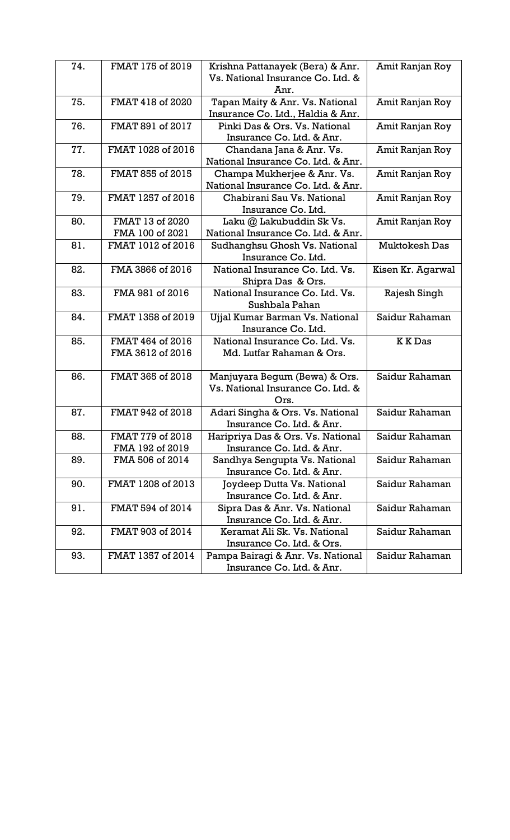| 74. | FMAT 175 of 2019  | Krishna Pattanayek (Bera) & Anr.   | Amit Ranjan Roy      |
|-----|-------------------|------------------------------------|----------------------|
|     |                   | Vs. National Insurance Co. Ltd. &  |                      |
|     |                   | Anr.                               |                      |
| 75. | FMAT 418 of 2020  | Tapan Maity & Anr. Vs. National    | Amit Ranjan Roy      |
|     |                   | Insurance Co. Ltd., Haldia & Anr.  |                      |
| 76. | FMAT 891 of 2017  | Pinki Das & Ors. Vs. National      | Amit Ranjan Roy      |
|     |                   | Insurance Co. Ltd. & Anr.          |                      |
| 77. | FMAT 1028 of 2016 | Chandana Jana & Anr. Vs.           | Amit Ranjan Roy      |
|     |                   | National Insurance Co. Ltd. & Anr. |                      |
| 78. | FMAT 855 of 2015  | Champa Mukherjee & Anr. Vs.        | Amit Ranjan Roy      |
|     |                   | National Insurance Co. Ltd. & Anr. |                      |
| 79. | FMAT 1257 of 2016 | Chabirani Sau Vs. National         | Amit Ranjan Roy      |
|     |                   | Insurance Co. Ltd.                 |                      |
| 80. | FMAT 13 of 2020   | Laku @ Lakubuddin Sk Vs.           | Amit Ranjan Roy      |
|     | FMA 100 of 2021   | National Insurance Co. Ltd. & Anr. |                      |
| 81. | FMAT 1012 of 2016 | Sudhanghsu Ghosh Vs. National      | <b>Muktokesh Das</b> |
|     |                   | Insurance Co. Ltd.                 |                      |
| 82. | FMA 3866 of 2016  | National Insurance Co. Ltd. Vs.    | Kisen Kr. Agarwal    |
|     |                   | Shipra Das & Ors.                  |                      |
| 83. | FMA 981 of 2016   | National Insurance Co. Ltd. Vs.    | Rajesh Singh         |
|     |                   | Sushbala Pahan                     |                      |
| 84. | FMAT 1358 of 2019 | Ujjal Kumar Barman Vs. National    | Saidur Rahaman       |
|     |                   | Insurance Co. Ltd.                 |                      |
| 85. | FMAT 464 of 2016  | National Insurance Co. Ltd. Vs.    | <b>KKDas</b>         |
|     | FMA 3612 of 2016  | Md. Lutfar Rahaman & Ors.          |                      |
|     |                   |                                    |                      |
| 86. | FMAT 365 of 2018  | Manjuyara Begum (Bewa) & Ors.      | Saidur Rahaman       |
|     |                   | Vs. National Insurance Co. Ltd. &  |                      |
|     |                   | Ors.                               |                      |
| 87. | FMAT 942 of 2018  | Adari Singha & Ors. Vs. National   | Saidur Rahaman       |
|     |                   | Insurance Co. Ltd. & Anr.          |                      |
| 88. | FMAT 779 of 2018  | Haripriya Das & Ors. Vs. National  | Saidur Rahaman       |
|     | FMA 192 of 2019   | Insurance Co. Ltd. & Anr.          |                      |
| 89. | FMA 506 of 2014   | Sandhya Sengupta Vs. National      | Saidur Rahaman       |
|     |                   | Insurance Co. Ltd. & Anr.          |                      |
| 90. | FMAT 1208 of 2013 | Joydeep Dutta Vs. National         | Saidur Rahaman       |
|     |                   | Insurance Co. Ltd. & Anr.          |                      |
| 91. | FMAT 594 of 2014  | Sipra Das & Anr. Vs. National      | Saidur Rahaman       |
|     |                   | Insurance Co. Ltd. & Anr.          |                      |
| 92. | FMAT 903 of 2014  | Keramat Ali Sk. Vs. National       | Saidur Rahaman       |
|     |                   | Insurance Co. Ltd. & Ors.          |                      |
| 93. | FMAT 1357 of 2014 | Pampa Bairagi & Anr. Vs. National  | Saidur Rahaman       |
|     |                   | Insurance Co. Ltd. & Anr.          |                      |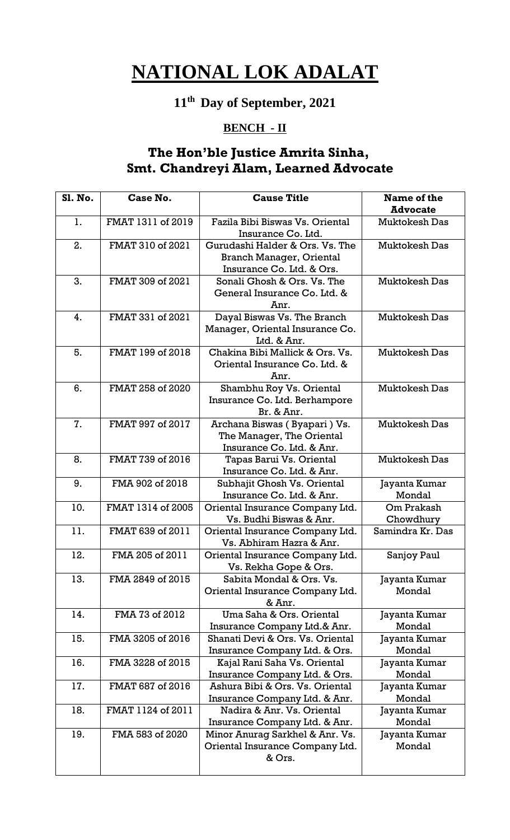## **11th Day of September, 2021**

#### **BENCH - II**

### **The Hon'ble Justice Amrita Sinha, Smt. Chandreyi Alam, Learned Advocate**

| <b>S1. No.</b> | Case No.          | <b>Cause Title</b>                                                                              | Name of the             |
|----------------|-------------------|-------------------------------------------------------------------------------------------------|-------------------------|
|                |                   |                                                                                                 | <b>Advocate</b>         |
| 1.             | FMAT 1311 of 2019 | Fazila Bibi Biswas Vs. Oriental<br>Insurance Co. Ltd.                                           | <b>Muktokesh Das</b>    |
| 2.             | FMAT 310 of 2021  | Gurudashi Halder & Ors. Vs. The<br><b>Branch Manager, Oriental</b><br>Insurance Co. Ltd. & Ors. | <b>Muktokesh Das</b>    |
| 3.             | FMAT 309 of 2021  | Sonali Ghosh & Ors. Vs. The<br>General Insurance Co. Ltd. &<br>Anr.                             | Muktokesh Das           |
| 4.             | FMAT 331 of 2021  | Dayal Biswas Vs. The Branch<br>Manager, Oriental Insurance Co.<br>Ltd. & Anr.                   | <b>Muktokesh Das</b>    |
| 5.             | FMAT 199 of 2018  | Chakina Bibi Mallick & Ors. Vs.<br>Oriental Insurance Co. Ltd. &<br>Anr.                        | <b>Muktokesh Das</b>    |
| 6.             | FMAT 258 of 2020  | Shambhu Roy Vs. Oriental<br>Insurance Co. Ltd. Berhampore<br>Br. & Anr.                         | <b>Muktokesh Das</b>    |
| 7.             | FMAT 997 of 2017  | Archana Biswas (Byapari) Vs.<br>The Manager, The Oriental<br>Insurance Co. Ltd. & Anr.          | <b>Muktokesh Das</b>    |
| 8.             | FMAT 739 of 2016  | Tapas Barui Vs. Oriental<br>Insurance Co. Ltd. & Anr.                                           | <b>Muktokesh Das</b>    |
| 9.             | FMA 902 of 2018   | Subhajit Ghosh Vs. Oriental<br>Insurance Co. Ltd. & Anr.                                        | Jayanta Kumar<br>Mondal |
| 10.            | FMAT 1314 of 2005 | Oriental Insurance Company Ltd.<br>Vs. Budhi Biswas & Anr.                                      | Om Prakash<br>Chowdhury |
| 11.            | FMAT 639 of 2011  | Oriental Insurance Company Ltd.<br>Vs. Abhiram Hazra & Anr.                                     | Samindra Kr. Das        |
| 12.            | FMA 205 of 2011   | Oriental Insurance Company Ltd.<br>Vs. Rekha Gope & Ors.                                        | Sanjoy Paul             |
| 13.            | FMA 2849 of 2015  | Sabita Mondal & Ors. Vs.<br>Oriental Insurance Company Ltd.<br>& Anr.                           | Jayanta Kumar<br>Mondal |
| 14.            | FMA 73 of 2012    | Uma Saha & Ors. Oriental<br>Insurance Company Ltd.& Anr.                                        | Jayanta Kumar<br>Mondal |
| 15.            | FMA 3205 of 2016  | Shanati Devi & Ors. Vs. Oriental<br>Insurance Company Ltd. & Ors.                               | Jayanta Kumar<br>Mondal |
| 16.            | FMA 3228 of 2015  | Kajal Rani Saha Vs. Oriental<br>Insurance Company Ltd. & Ors.                                   | Jayanta Kumar<br>Mondal |
| 17.            | FMAT 687 of 2016  | Ashura Bibi & Ors. Vs. Oriental<br>Insurance Company Ltd. & Anr.                                | Jayanta Kumar<br>Mondal |
| 18.            | FMAT 1124 of 2011 | Nadira & Anr. Vs. Oriental<br>Insurance Company Ltd. & Anr.                                     | Jayanta Kumar<br>Mondal |
| 19.            | FMA 583 of 2020   | Minor Anurag Sarkhel & Anr. Vs.<br>Oriental Insurance Company Ltd.<br>& Ors.                    | Jayanta Kumar<br>Mondal |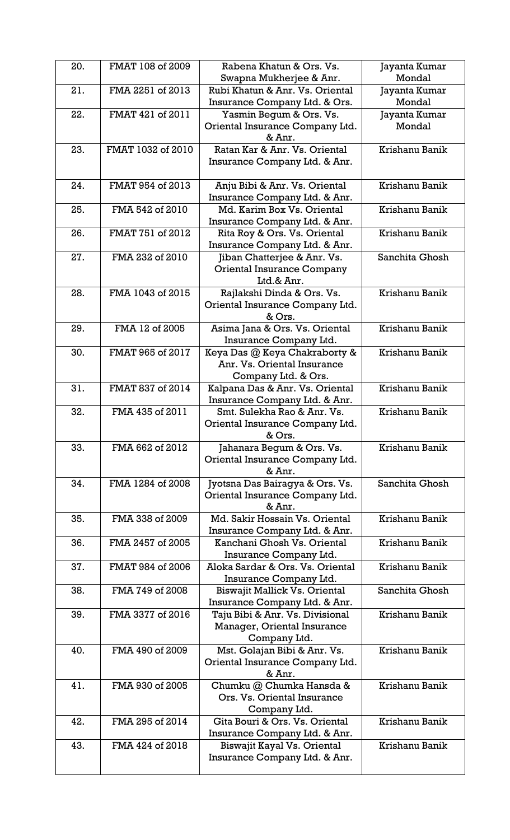| 20. | FMAT 108 of 2009  | Rabena Khatun & Ors. Vs.<br>Swapna Mukherjee & Anr.                                 | Jayanta Kumar<br>Mondal |
|-----|-------------------|-------------------------------------------------------------------------------------|-------------------------|
| 21. | FMA 2251 of 2013  | Rubi Khatun & Anr. Vs. Oriental<br>Insurance Company Ltd. & Ors.                    | Jayanta Kumar<br>Mondal |
| 22. | FMAT 421 of 2011  | Yasmin Begum & Ors. Vs.<br>Oriental Insurance Company Ltd.<br>& Anr.                | Jayanta Kumar<br>Mondal |
| 23. | FMAT 1032 of 2010 | Ratan Kar & Anr. Vs. Oriental<br>Insurance Company Ltd. & Anr.                      | Krishanu Banik          |
| 24. | FMAT 954 of 2013  | Anju Bibi & Anr. Vs. Oriental<br>Insurance Company Ltd. & Anr.                      | Krishanu Banik          |
| 25. | FMA 542 of 2010   | Md. Karim Box Vs. Oriental<br>Insurance Company Ltd. & Anr.                         | Krishanu Banik          |
| 26. | FMAT 751 of 2012  | Rita Roy & Ors. Vs. Oriental<br>Insurance Company Ltd. & Anr.                       | Krishanu Banik          |
| 27. | FMA 232 of 2010   | Jiban Chatterjee & Anr. Vs.<br><b>Oriental Insurance Company</b><br>Ltd.& Anr.      | Sanchita Ghosh          |
| 28. | FMA 1043 of 2015  | Rajlakshi Dinda & Ors. Vs.<br>Oriental Insurance Company Ltd.<br>& Ors.             | Krishanu Banik          |
| 29. | FMA 12 of 2005    | Asima Jana & Ors. Vs. Oriental<br>Insurance Company Ltd.                            | Krishanu Banik          |
| 30. | FMAT 965 of 2017  | Keya Das @ Keya Chakraborty &<br>Anr. Vs. Oriental Insurance<br>Company Ltd. & Ors. | Krishanu Banik          |
| 31. | FMAT 837 of 2014  | Kalpana Das & Anr. Vs. Oriental<br>Insurance Company Ltd. & Anr.                    | Krishanu Banik          |
| 32. | FMA 435 of 2011   | Smt. Sulekha Rao & Anr. Vs.<br>Oriental Insurance Company Ltd.<br>& Ors.            | Krishanu Banik          |
| 33. | FMA 662 of 2012   | Jahanara Begum & Ors. Vs.<br>Oriental Insurance Company Ltd.<br>& Anr.              | Krishanu Banik          |
| 34. | FMA 1284 of 2008  | Jyotsna Das Bairagya & Ors. Vs.<br>Oriental Insurance Company Ltd.<br>& Anr.        | Sanchita Ghosh          |
| 35. | FMA 338 of 2009   | Md. Sakir Hossain Vs. Oriental<br>Insurance Company Ltd. & Anr.                     | Krishanu Banik          |
| 36. | FMA 2457 of 2005  | Kanchani Ghosh Vs. Oriental<br>Insurance Company Ltd.                               | Krishanu Banik          |
| 37. | FMAT 984 of 2006  | Aloka Sardar & Ors. Vs. Oriental<br>Insurance Company Ltd.                          | Krishanu Banik          |
| 38. | FMA 749 of 2008   | Biswajit Mallick Vs. Oriental<br>Insurance Company Ltd. & Anr.                      | Sanchita Ghosh          |
| 39. | FMA 3377 of 2016  | Taju Bibi & Anr. Vs. Divisional<br>Manager, Oriental Insurance<br>Company Ltd.      | Krishanu Banik          |
| 40. | FMA 490 of 2009   | Mst. Golajan Bibi & Anr. Vs.<br>Oriental Insurance Company Ltd.<br>& Anr.           | Krishanu Banik          |
| 41. | FMA 930 of 2005   | Chumku @ Chumka Hansda &<br>Ors. Vs. Oriental Insurance<br>Company Ltd.             | Krishanu Banik          |
| 42. | FMA 295 of 2014   | Gita Bouri & Ors. Vs. Oriental<br>Insurance Company Ltd. & Anr.                     | Krishanu Banik          |
| 43. | FMA 424 of 2018   | Biswajit Kayal Vs. Oriental<br>Insurance Company Ltd. & Anr.                        | Krishanu Banik          |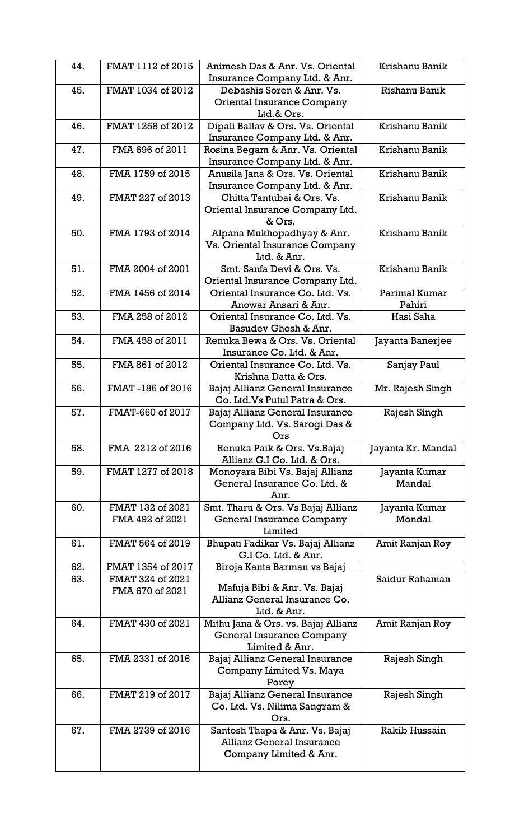| 44. | FMAT 1112 of 2015 | Animesh Das & Anr. Vs. Oriental<br>Insurance Company Ltd. & Anr. | Krishanu Banik     |
|-----|-------------------|------------------------------------------------------------------|--------------------|
| 45. | FMAT 1034 of 2012 | Debashis Soren & Anr. Vs.                                        | Rishanu Banik      |
|     |                   | Oriental Insurance Company                                       |                    |
|     |                   | Ltd.& Ors.                                                       |                    |
| 46. | FMAT 1258 of 2012 | Dipali Ballav & Ors. Vs. Oriental                                | Krishanu Banik     |
|     |                   | Insurance Company Ltd. & Anr.                                    |                    |
| 47. | FMA 696 of 2011   | Rosina Begam & Anr. Vs. Oriental                                 | Krishanu Banik     |
|     |                   | Insurance Company Ltd. & Anr.                                    |                    |
| 48. | FMA 1759 of 2015  | Anusila Jana & Ors. Vs. Oriental                                 | Krishanu Banik     |
|     |                   | Insurance Company Ltd. & Anr.                                    |                    |
| 49. | FMAT 227 of 2013  | Chitta Tantubai & Ors. Vs.                                       | Krishanu Banik     |
|     |                   | Oriental Insurance Company Ltd.                                  |                    |
|     |                   | & Ors.                                                           |                    |
| 50. | FMA 1793 of 2014  | Alpana Mukhopadhyay & Anr.                                       | Krishanu Banik     |
|     |                   | Vs. Oriental Insurance Company                                   |                    |
|     |                   | Ltd. & Anr.                                                      |                    |
| 51. | FMA 2004 of 2001  | Smt. Sanfa Devi & Ors. Vs.                                       | Krishanu Banik     |
|     |                   | Oriental Insurance Company Ltd.                                  |                    |
| 52. | FMA 1456 of 2014  | Oriental Insurance Co. Ltd. Vs.                                  | Parimal Kumar      |
|     |                   | Anowar Ansari & Anr.                                             | Pahiri             |
| 53. | FMA 258 of 2012   | Oriental Insurance Co. Ltd. Vs.                                  | Hasi Saha          |
|     |                   | Basudev Ghosh & Anr.                                             |                    |
| 54. | FMA 458 of 2011   | Renuka Bewa & Ors. Vs. Oriental                                  | Jayanta Banerjee   |
|     |                   | Insurance Co. Ltd. & Anr.                                        |                    |
| 55. | FMA 861 of 2012   | Oriental Insurance Co. Ltd. Vs.                                  | Sanjay Paul        |
|     |                   | Krishna Datta & Ors.                                             |                    |
| 56. | FMAT-186 of 2016  | Bajaj Allianz General Insurance                                  | Mr. Rajesh Singh   |
|     |                   | Co. Ltd. Vs Putul Patra & Ors.                                   |                    |
| 57. | FMAT-660 of 2017  | Bajaj Allianz General Insurance                                  | Rajesh Singh       |
|     |                   | Company Ltd. Vs. Sarogi Das &                                    |                    |
|     |                   | Ors                                                              |                    |
| 58. | FMA 2212 of 2016  | Renuka Paik & Ors. Vs. Bajaj                                     | Jayanta Kr. Mandal |
|     |                   | Allianz G.I Co. Ltd. & Ors.                                      |                    |
| 59. | FMAT 1277 of 2018 | Monoyara Bibi Vs. Bajaj Allianz                                  | Jayanta Kumar      |
|     |                   | General Insurance Co. Ltd. &                                     | Mandal             |
|     |                   | Anr.                                                             |                    |
| 60. | FMAT 132 of 2021  | Smt. Tharu & Ors. Vs Bajaj Allianz                               | Jayanta Kumar      |
|     | FMA 492 of 2021   | General Insurance Company                                        | Mondal             |
|     |                   | Limited                                                          |                    |
| 61. | FMAT 564 of 2019  | Bhupati Fadikar Vs. Bajaj Allianz                                | Amit Ranjan Roy    |
|     |                   | G.I Co. Ltd. & Anr.                                              |                    |
| 62. | FMAT 1354 of 2017 | Biroja Kanta Barman vs Bajaj                                     |                    |
| 63. | FMAT 324 of 2021  | Mafuja Bibi & Anr. Vs. Bajaj                                     | Saidur Rahaman     |
|     | FMA 670 of 2021   | Allianz General Insurance Co.                                    |                    |
|     |                   | Ltd. & Anr.                                                      |                    |
| 64. | FMAT 430 of 2021  | Mithu Jana & Ors. vs. Bajaj Allianz                              | Amit Ranjan Roy    |
|     |                   | General Insurance Company                                        |                    |
|     |                   | Limited & Anr.                                                   |                    |
| 65. | FMA 2331 of 2016  | Bajaj Allianz General Insurance                                  | Rajesh Singh       |
|     |                   | Company Limited Vs. Maya                                         |                    |
|     |                   | Porey                                                            |                    |
| 66. | FMAT 219 of 2017  | Bajaj Allianz General Insurance                                  | Rajesh Singh       |
|     |                   | Co. Ltd. Vs. Nilima Sangram &                                    |                    |
|     |                   | Ors.                                                             |                    |
| 67. | FMA 2739 of 2016  | Santosh Thapa & Anr. Vs. Bajaj                                   | Rakib Hussain      |
|     |                   | <b>Allianz General Insurance</b>                                 |                    |
|     |                   | Company Limited & Anr.                                           |                    |
|     |                   |                                                                  |                    |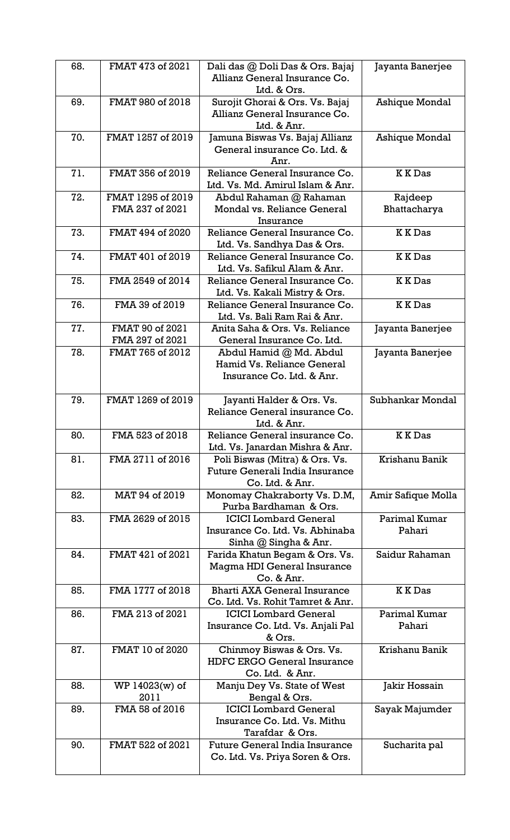| 68. | FMAT 473 of 2021                     | Dali das @ Doli Das & Ors. Bajaj<br>Allianz General Insurance Co.<br>Ltd. & Ors.         | Jayanta Banerjee        |
|-----|--------------------------------------|------------------------------------------------------------------------------------------|-------------------------|
| 69. | FMAT 980 of 2018                     | Surojit Ghorai & Ors. Vs. Bajaj<br>Allianz General Insurance Co.<br>Ltd. & Anr.          | Ashique Mondal          |
| 70. | FMAT 1257 of 2019                    | Jamuna Biswas Vs. Bajaj Allianz<br>General insurance Co. Ltd. &<br>Anr.                  | <b>Ashique Mondal</b>   |
| 71. | FMAT 356 of 2019                     | Reliance General Insurance Co.<br>Ltd. Vs. Md. Amirul Islam & Anr.                       | <b>KKDas</b>            |
| 72. | FMAT 1295 of 2019<br>FMA 237 of 2021 | Abdul Rahaman @ Rahaman<br>Mondal vs. Reliance General<br>Insurance                      | Rajdeep<br>Bhattacharya |
| 73. | FMAT 494 of 2020                     | Reliance General Insurance Co.<br>Ltd. Vs. Sandhya Das & Ors.                            | <b>KKDas</b>            |
| 74. | FMAT 401 of 2019                     | Reliance General Insurance Co.<br>Ltd. Vs. Safikul Alam & Anr.                           | <b>KKDas</b>            |
| 75. | FMA 2549 of 2014                     | Reliance General Insurance Co.<br>Ltd. Vs. Kakali Mistry & Ors.                          | <b>KKDas</b>            |
| 76. | FMA 39 of 2019                       | Reliance General Insurance Co.<br>Ltd. Vs. Bali Ram Rai & Anr.                           | <b>KKDas</b>            |
| 77. | FMAT 90 of 2021<br>FMA 297 of 2021   | Anita Saha & Ors. Vs. Reliance<br>General Insurance Co. Ltd.                             | Jayanta Banerjee        |
| 78. | FMAT 765 of 2012                     | Abdul Hamid @ Md. Abdul<br>Hamid Vs. Reliance General<br>Insurance Co. Ltd. & Anr.       | Jayanta Banerjee        |
| 79. | FMAT 1269 of 2019                    | Jayanti Halder & Ors. Vs.<br>Reliance General insurance Co.<br>Ltd. & Anr.               | Subhankar Mondal        |
| 80. | FMA 523 of 2018                      | Reliance General insurance Co.<br>Ltd. Vs. Janardan Mishra & Anr.                        | <b>KKDas</b>            |
| 81. | FMA 2711 of 2016                     | Poli Biswas (Mitra) & Ors. Vs.<br>Future Generali India Insurance<br>Co. Ltd. & Anr.     | Krishanu Banik          |
| 82. | MAT 94 of 2019                       | Monomay Chakraborty Vs. D.M,<br>Purba Bardhaman & Ors.                                   | Amir Safique Molla      |
| 83. | FMA 2629 of 2015                     | <b>ICICI</b> Lombard General<br>Insurance Co. Ltd. Vs. Abhinaba<br>Sinha @ Singha & Anr. | Parimal Kumar<br>Pahari |
| 84. | FMAT 421 of 2021                     | Farida Khatun Begam & Ors. Vs.<br>Magma HDI General Insurance<br>Co. & Anr.              | Saidur Rahaman          |
| 85. | FMA 1777 of 2018                     | <b>Bharti AXA General Insurance</b><br>Co. Ltd. Vs. Rohit Tamret & Anr.                  | <b>KKDas</b>            |
| 86. | FMA 213 of 2021                      | <b>ICICI</b> Lombard General<br>Insurance Co. Ltd. Vs. Anjali Pal<br>& Ors.              | Parimal Kumar<br>Pahari |
| 87. | FMAT 10 of 2020                      | Chinmoy Biswas & Ors. Vs.<br><b>HDFC ERGO General Insurance</b><br>Co. Ltd. & Anr.       | Krishanu Banik          |
| 88. | WP 14023(w) of<br>2011               | Manju Dey Vs. State of West<br>Bengal & Ors.                                             | Jakir Hossain           |
| 89. | FMA 58 of 2016                       | <b>ICICI</b> Lombard General<br>Insurance Co. Ltd. Vs. Mithu<br>Tarafdar & Ors.          | Sayak Majumder          |
| 90. | FMAT 522 of 2021                     | <b>Future General India Insurance</b><br>Co. Ltd. Vs. Priya Soren & Ors.                 | Sucharita pal           |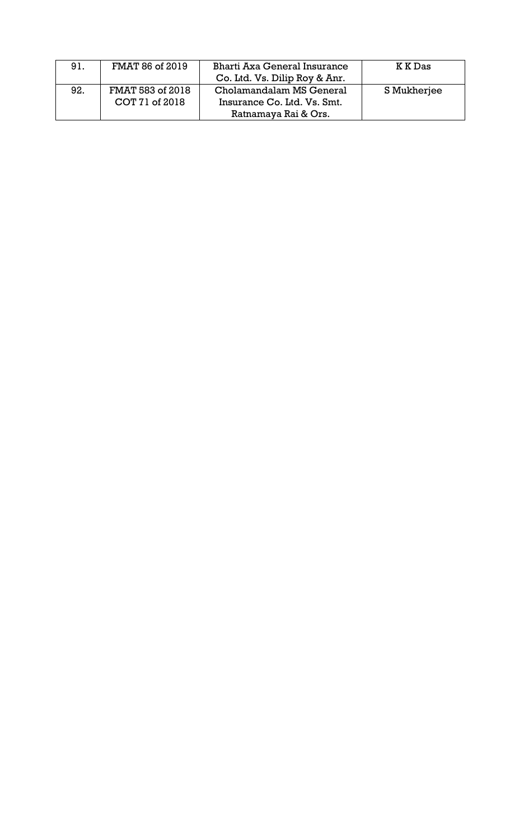| 91. | FMAT 86 of 2019  | Bharti Axa General Insurance  | K K Das     |
|-----|------------------|-------------------------------|-------------|
|     |                  | Co. Ltd. Vs. Dilip Roy & Anr. |             |
| 92. | FMAT 583 of 2018 | Cholamandalam MS General      | S Mukherjee |
|     | COT 71 of 2018   | Insurance Co. Ltd. Vs. Smt.   |             |
|     |                  | Ratnamaya Rai & Ors.          |             |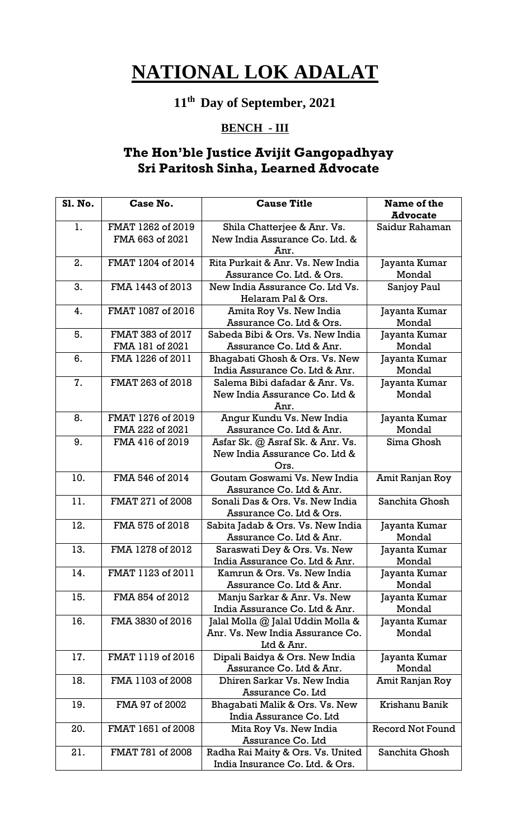## **11th Day of September, 2021**

### **BENCH - III**

### **The Hon'ble Justice Avijit Gangopadhyay Sri Paritosh Sinha, Learned Advocate**

| Sl. No. | Case No.          | <b>Cause Title</b>                | Name of the             |
|---------|-------------------|-----------------------------------|-------------------------|
|         |                   |                                   | <b>Advocate</b>         |
| 1.      | FMAT 1262 of 2019 | Shila Chatterjee & Anr. Vs.       | Saidur Rahaman          |
|         | FMA 663 of 2021   | New India Assurance Co. Ltd. &    |                         |
|         |                   | Anr.                              |                         |
| 2.      | FMAT 1204 of 2014 | Rita Purkait & Anr. Vs. New India | Jayanta Kumar           |
|         |                   | Assurance Co. Ltd. & Ors.         | Mondal                  |
| 3.      | FMA 1443 of 2013  | New India Assurance Co. Ltd Vs.   | Sanjoy Paul             |
|         |                   | Helaram Pal & Ors.                |                         |
| 4.      | FMAT 1087 of 2016 | Amita Roy Vs. New India           | Jayanta Kumar           |
|         |                   | Assurance Co. Ltd & Ors.          | Mondal                  |
| 5.      | FMAT 383 of 2017  | Sabeda Bibi & Ors. Vs. New India  | Jayanta Kumar           |
|         | FMA 181 of 2021   | Assurance Co. Ltd & Anr.          | Mondal                  |
| 6.      | FMA 1226 of 2011  | Bhagabati Ghosh & Ors. Vs. New    | Jayanta Kumar           |
|         |                   | India Assurance Co. Ltd & Anr.    | Mondal                  |
| 7.      | FMAT 263 of 2018  | Salema Bibi dafadar & Anr. Vs.    | Jayanta Kumar           |
|         |                   | New India Assurance Co. Ltd &     | Mondal                  |
|         |                   | Anr.                              |                         |
| 8.      | FMAT 1276 of 2019 | Angur Kundu Vs. New India         | Jayanta Kumar           |
|         | FMA 222 of 2021   | Assurance Co. Ltd & Anr.          | Mondal                  |
| 9.      | FMA 416 of 2019   | Asfar Sk. @ Asraf Sk. & Anr. Vs.  | Sima Ghosh              |
|         |                   | New India Assurance Co. Ltd &     |                         |
|         |                   | Ors.                              |                         |
| 10.     | FMA 546 of 2014   | Goutam Goswami Vs. New India      | Amit Ranjan Roy         |
|         |                   | Assurance Co. Ltd & Anr.          |                         |
| 11.     | FMAT 271 of 2008  | Sonali Das & Ors. Vs. New India   | Sanchita Ghosh          |
|         |                   | Assurance Co. Ltd & Ors.          |                         |
| 12.     | FMA 575 of 2018   | Sabita Jadab & Ors. Vs. New India | Jayanta Kumar           |
|         |                   | Assurance Co. Ltd & Anr.          | Mondal                  |
| 13.     | FMA 1278 of 2012  | Saraswati Dey & Ors. Vs. New      | Jayanta Kumar           |
|         |                   | India Assurance Co. Ltd & Anr.    | Mondal                  |
| 14.     | FMAT 1123 of 2011 | Kamrun & Ors. Vs. New India       | Jayanta Kumar           |
|         |                   | Assurance Co. Ltd & Anr.          | Mondal                  |
| 15.     | FMA 854 of 2012   | Manju Sarkar & Anr. Vs. New       | Jayanta Kumar           |
|         |                   | India Assurance Co. Ltd & Anr.    | Mondal                  |
| 16.     | FMA 3830 of 2016  | Jalal Molla @ Jalal Uddin Molla & | Jayanta Kumar           |
|         |                   | Anr. Vs. New India Assurance Co.  | Mondal                  |
|         |                   | Ltd & Anr.                        |                         |
| 17.     | FMAT 1119 of 2016 | Dipali Baidya & Ors. New India    | Jayanta Kumar           |
|         |                   | Assurance Co. Ltd & Anr.          | Mondal                  |
| 18.     | FMA 1103 of 2008  | Dhiren Sarkar Vs. New India       | Amit Ranjan Roy         |
|         |                   | Assurance Co. Ltd                 |                         |
| 19.     | FMA 97 of 2002    | Bhagabati Malik & Ors. Vs. New    | Krishanu Banik          |
|         |                   | India Assurance Co. Ltd           |                         |
| 20.     | FMAT 1651 of 2008 | Mita Roy Vs. New India            | <b>Record Not Found</b> |
|         |                   | Assurance Co. Ltd                 |                         |
| 21.     | FMAT 781 of 2008  | Radha Rai Maity & Ors. Vs. United | Sanchita Ghosh          |
|         |                   | India Insurance Co. Ltd. & Ors.   |                         |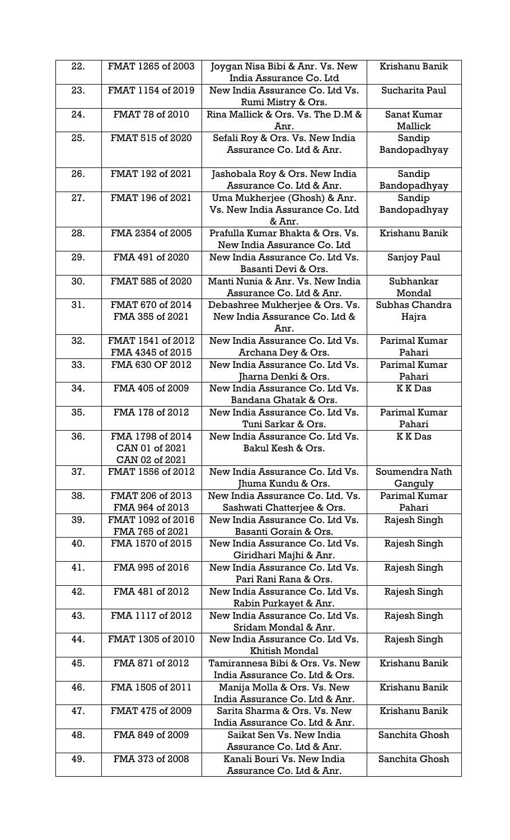| 22. | FMAT 1265 of 2003                                    | Joygan Nisa Bibi & Anr. Vs. New<br>India Assurance Co. Ltd                | Krishanu Banik            |
|-----|------------------------------------------------------|---------------------------------------------------------------------------|---------------------------|
| 23. | FMAT 1154 of 2019                                    | New India Assurance Co. Ltd Vs.                                           | Sucharita Paul            |
| 24. | FMAT 78 of 2010                                      | Rumi Mistry & Ors.<br>Rina Mallick & Ors. Vs. The D.M &                   | Sanat Kumar               |
| 25. | FMAT 515 of 2020                                     | Anr.                                                                      | Mallick                   |
|     |                                                      | Sefali Roy & Ors. Vs. New India<br>Assurance Co. Ltd & Anr.               | Sandip<br>Bandopadhyay    |
| 26. | FMAT 192 of 2021                                     | Jashobala Roy & Ors. New India<br>Assurance Co. Ltd & Anr.                | Sandip<br>Bandopadhyay    |
| 27. | FMAT 196 of 2021                                     | Uma Mukherjee (Ghosh) & Anr.<br>Vs. New India Assurance Co. Ltd<br>& Anr. | Sandip<br>Bandopadhyay    |
| 28. | FMA 2354 of 2005                                     | Prafulla Kumar Bhakta & Ors. Vs.<br>New India Assurance Co. Ltd           | Krishanu Banik            |
| 29. | FMA 491 of 2020                                      | New India Assurance Co. Ltd Vs.<br>Basanti Devi & Ors.                    | Sanjoy Paul               |
| 30. | FMAT 585 of 2020                                     | Manti Nunia & Anr. Vs. New India<br>Assurance Co. Ltd & Anr.              | Subhankar<br>Mondal       |
| 31. | FMAT 670 of 2014<br>FMA 355 of 2021                  | Debashree Mukherjee & Ors. Vs.<br>New India Assurance Co. Ltd &<br>Anr.   | Subhas Chandra<br>Hajra   |
| 32. | FMAT 1541 of 2012<br>FMA 4345 of 2015                | New India Assurance Co. Ltd Vs.<br>Archana Dey & Ors.                     | Parimal Kumar<br>Pahari   |
| 33. | FMA 630 OF 2012                                      | New India Assurance Co. Ltd Vs.<br>Jharna Denki & Ors.                    | Parimal Kumar<br>Pahari   |
| 34. | FMA 405 of 2009                                      | New India Assurance Co. Ltd Vs.<br>Bandana Ghatak & Ors.                  | <b>K K</b> Das            |
| 35. | FMA 178 of 2012                                      | New India Assurance Co. Ltd Vs.<br>Tuni Sarkar & Ors.                     | Parimal Kumar<br>Pahari   |
| 36. | FMA 1798 of 2014<br>CAN 01 of 2021<br>CAN 02 of 2021 | New India Assurance Co. Ltd Vs.<br>Bakul Kesh & Ors.                      | <b>KKDas</b>              |
| 37. | FMAT 1556 of 2012                                    | New India Assurance Co. Ltd Vs.<br>Jhuma Kundu & Ors.                     | Soumendra Nath<br>Ganguly |
| 38. | FMAT 206 of 2013<br>FMA 964 of 2013                  | New India Assurance Co. Ltd. Vs.<br>Sashwati Chatterjee & Ors.            | Parimal Kumar<br>Pahari   |
| 39. | FMAT 1092 of 2016<br>FMA 765 of 2021                 | New India Assurance Co. Ltd Vs.<br>Basanti Gorain & Ors.                  | Rajesh Singh              |
| 40. | FMA 1570 of 2015                                     | New India Assurance Co. Ltd Vs.<br>Giridhari Majhi & Anr.                 | Rajesh Singh              |
| 41. | FMA 995 of 2016                                      | New India Assurance Co. Ltd Vs.<br>Pari Rani Rana & Ors.                  | Rajesh Singh              |
| 42. | FMA 481 of 2012                                      | New India Assurance Co. Ltd Vs.<br>Rabin Purkayet & Anr.                  | Rajesh Singh              |
| 43. | FMA 1117 of 2012                                     | New India Assurance Co. Ltd Vs.<br>Sridam Mondal & Anr.                   | Rajesh Singh              |
| 44. | FMAT 1305 of 2010                                    | New India Assurance Co. Ltd Vs.<br><b>Khitish Mondal</b>                  | Rajesh Singh              |
| 45. | FMA 871 of 2012                                      | Tamirannesa Bibi & Ors. Vs. New<br>India Assurance Co. Ltd & Ors.         | Krishanu Banik            |
| 46. | FMA 1505 of 2011                                     | Manija Molla & Ors. Vs. New<br>India Assurance Co. Ltd & Anr.             | Krishanu Banik            |
| 47. | FMAT 475 of 2009                                     | Sarita Sharma & Ors. Vs. New<br>India Assurance Co. Ltd & Anr.            | Krishanu Banik            |
| 48. | FMA 849 of 2009                                      | Saikat Sen Vs. New India<br>Assurance Co. Ltd & Anr.                      | Sanchita Ghosh            |
| 49. | FMA 373 of 2008                                      | Kanali Bouri Vs. New India<br>Assurance Co. Ltd & Anr.                    | Sanchita Ghosh            |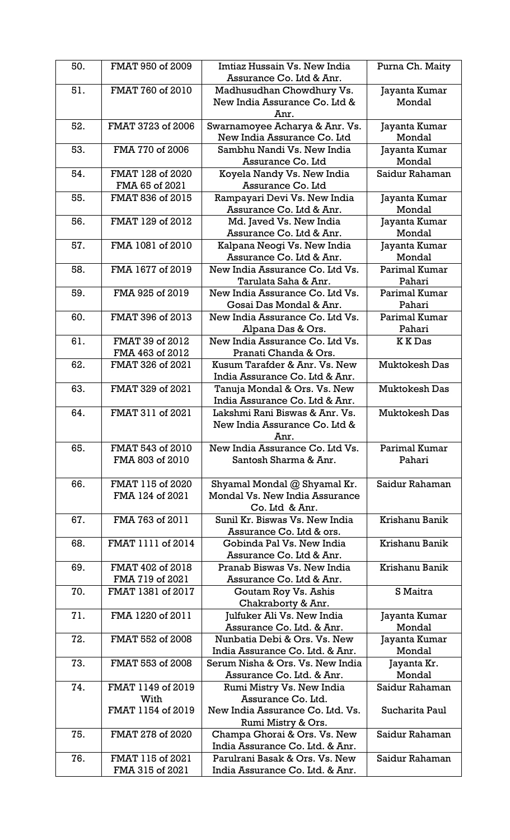| 50. | FMAT 950 of 2009  | Imtiaz Hussain Vs. New India     | Purna Ch. Maity      |
|-----|-------------------|----------------------------------|----------------------|
|     |                   | Assurance Co. Ltd & Anr.         |                      |
| 51. | FMAT 760 of 2010  | Madhusudhan Chowdhury Vs.        | Jayanta Kumar        |
|     |                   | New India Assurance Co. Ltd &    | Mondal               |
|     |                   | Anr.                             |                      |
| 52. | FMAT 3723 of 2006 | Swarnamoyee Acharya & Anr. Vs.   | Jayanta Kumar        |
|     |                   | New India Assurance Co. Ltd      | Mondal               |
| 53. | FMA 770 of 2006   | Sambhu Nandi Vs. New India       | Jayanta Kumar        |
|     |                   | Assurance Co. Ltd                | Mondal               |
| 54. | FMAT 128 of 2020  | Koyela Nandy Vs. New India       | Saidur Rahaman       |
|     | FMA 65 of 2021    | Assurance Co. Ltd                |                      |
| 55. | FMAT 836 of 2015  | Rampayari Devi Vs. New India     | Jayanta Kumar        |
|     |                   | Assurance Co. Ltd & Anr.         | Mondal               |
| 56. | FMAT 129 of 2012  | Md. Javed Vs. New India          | Jayanta Kumar        |
|     |                   | Assurance Co. Ltd & Anr.         | Mondal               |
| 57. | FMA 1081 of 2010  | Kalpana Neogi Vs. New India      | Jayanta Kumar        |
|     |                   | Assurance Co. Ltd & Anr.         | Mondal               |
| 58. | FMA 1677 of 2019  | New India Assurance Co. Ltd Vs.  | Parimal Kumar        |
|     |                   | Tarulata Saha & Anr.             | Pahari               |
| 59. | FMA 925 of 2019   | New India Assurance Co. Ltd Vs.  | Parimal Kumar        |
|     |                   | Gosai Das Mondal & Anr.          | Pahari               |
| 60. | FMAT 396 of 2013  | New India Assurance Co. Ltd Vs.  | Parimal Kumar        |
|     |                   |                                  |                      |
|     |                   | Alpana Das & Ors.                | Pahari               |
| 61. | FMAT 39 of 2012   | New India Assurance Co. Ltd Vs.  | <b>K K</b> Das       |
|     | FMA 463 of 2012   | Pranati Chanda & Ors.            |                      |
| 62. | FMAT 326 of 2021  | Kusum Tarafder & Anr. Vs. New    | <b>Muktokesh Das</b> |
|     |                   | India Assurance Co. Ltd & Anr.   |                      |
| 63. | FMAT 329 of 2021  | Tanuja Mondal & Ors. Vs. New     | <b>Muktokesh Das</b> |
|     |                   | India Assurance Co. Ltd & Anr.   |                      |
| 64. | FMAT 311 of 2021  | Lakshmi Rani Biswas & Anr. Vs.   | <b>Muktokesh Das</b> |
|     |                   | New India Assurance Co. Ltd &    |                      |
|     |                   | Anr.                             |                      |
| 65. | FMAT 543 of 2010  | New India Assurance Co. Ltd Vs.  | Parimal Kumar        |
|     | FMA 803 of 2010   | Santosh Sharma & Anr.            | Pahari               |
|     |                   |                                  |                      |
| 66. | FMAT 115 of 2020  | Shyamal Mondal @ Shyamal Kr.     | Saidur Rahaman       |
|     | FMA 124 of 2021   | Mondal Vs. New India Assurance   |                      |
|     |                   | Co. Ltd & Anr.                   |                      |
| 67. | FMA 763 of 2011   | Sunil Kr. Biswas Vs. New India   | Krishanu Banik       |
|     |                   | Assurance Co. Ltd & ors.         |                      |
| 68. | FMAT 1111 of 2014 | Gobinda Pal Vs. New India        | Krishanu Banik       |
|     |                   | Assurance Co. Ltd & Anr.         |                      |
| 69. | FMAT 402 of 2018  | Pranab Biswas Vs. New India      | Krishanu Banik       |
|     |                   |                                  |                      |
|     | FMA 719 of 2021   | Assurance Co. Ltd & Anr.         |                      |
| 70. | FMAT 1381 of 2017 | Goutam Roy Vs. Ashis             | S Maitra             |
|     |                   | Chakraborty & Anr.               |                      |
| 71. | FMA 1220 of 2011  | Julfuker Ali Vs. New India       | Jayanta Kumar        |
|     |                   | Assurance Co. Ltd. & Anr.        | Mondal               |
| 72. | FMAT 552 of 2008  | Nunbatia Debi & Ors. Vs. New     | Jayanta Kumar        |
|     |                   | India Assurance Co. Ltd. & Anr.  | Mondal               |
| 73. | FMAT 553 of 2008  | Serum Nisha & Ors. Vs. New India | Jayanta Kr.          |
|     |                   | Assurance Co. Ltd. & Anr.        | Mondal               |
| 74. | FMAT 1149 of 2019 | Rumi Mistry Vs. New India        | Saidur Rahaman       |
|     | With              | Assurance Co. Ltd.               |                      |
|     | FMAT 1154 of 2019 | New India Assurance Co. Ltd. Vs. | Sucharita Paul       |
|     |                   | Rumi Mistry & Ors.               |                      |
| 75. | FMAT 278 of 2020  | Champa Ghorai & Ors. Vs. New     | Saidur Rahaman       |
|     |                   | India Assurance Co. Ltd. & Anr.  |                      |
| 76. | FMAT 115 of 2021  | Parulrani Basak & Ors. Vs. New   | Saidur Rahaman       |
|     | FMA 315 of 2021   | India Assurance Co. Ltd. & Anr.  |                      |
|     |                   |                                  |                      |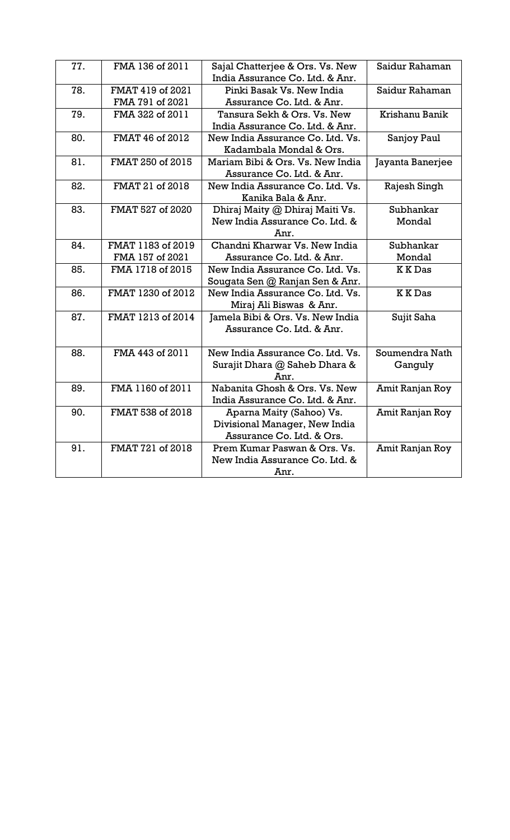| 77. | FMA 136 of 2011   | Sajal Chatterjee & Ors. Vs. New<br>India Assurance Co. Ltd. & Anr. | Saidur Rahaman   |
|-----|-------------------|--------------------------------------------------------------------|------------------|
| 78. | FMAT 419 of 2021  | Pinki Basak Vs. New India                                          | Saidur Rahaman   |
|     | FMA 791 of 2021   | Assurance Co. Ltd. & Anr.                                          |                  |
| 79. | FMA 322 of 2011   | Tansura Sekh & Ors. Vs. New                                        | Krishanu Banik   |
|     |                   |                                                                    |                  |
|     | FMAT 46 of 2012   | India Assurance Co. Ltd. & Anr.                                    |                  |
| 80. |                   | New India Assurance Co. Ltd. Vs.                                   | Sanjoy Paul      |
|     |                   | Kadambala Mondal & Ors.                                            |                  |
| 81. | FMAT 250 of 2015  | Mariam Bibi & Ors. Vs. New India                                   | Jayanta Banerjee |
|     |                   | Assurance Co. Ltd. & Anr.                                          |                  |
| 82. | FMAT 21 of 2018   | New India Assurance Co. Ltd. Vs.                                   | Rajesh Singh     |
|     |                   | Kanika Bala & Anr.                                                 |                  |
| 83. | FMAT 527 of 2020  | Dhiraj Maity @ Dhiraj Maiti Vs.                                    | Subhankar        |
|     |                   | New India Assurance Co. Ltd. &                                     | Mondal           |
|     |                   | Anr.                                                               |                  |
| 84. | FMAT 1183 of 2019 | Chandni Kharwar Vs. New India                                      | Subhankar        |
|     | FMA 157 of 2021   | Assurance Co. Ltd. & Anr.                                          | Mondal           |
| 85. | FMA 1718 of 2015  | New India Assurance Co. Ltd. Vs.                                   | <b>KKDas</b>     |
|     |                   | Sougata Sen @ Ranjan Sen & Anr.                                    |                  |
| 86. | FMAT 1230 of 2012 | New India Assurance Co. Ltd. Vs.                                   | <b>KKDas</b>     |
|     |                   | Miraj Ali Biswas & Anr.                                            |                  |
| 87. | FMAT 1213 of 2014 | Jamela Bibi & Ors. Vs. New India                                   | Sujit Saha       |
|     |                   | Assurance Co. Ltd. & Anr.                                          |                  |
|     |                   |                                                                    |                  |
| 88. | FMA 443 of 2011   | New India Assurance Co. Ltd. Vs.                                   | Soumendra Nath   |
|     |                   | Surajit Dhara @ Saheb Dhara &                                      | Ganguly          |
|     |                   | Anr.                                                               |                  |
| 89. | FMA 1160 of 2011  | Nabanita Ghosh & Ors. Vs. New                                      | Amit Ranjan Roy  |
|     |                   | India Assurance Co. Ltd. & Anr.                                    |                  |
| 90. | FMAT 538 of 2018  | Aparna Maity (Sahoo) Vs.                                           | Amit Ranjan Roy  |
|     |                   | Divisional Manager, New India                                      |                  |
|     |                   | Assurance Co. Ltd. & Ors.                                          |                  |
| 91. | FMAT 721 of 2018  | Prem Kumar Paswan & Ors. Vs.                                       | Amit Ranjan Roy  |
|     |                   | New India Assurance Co. Ltd. &                                     |                  |
|     |                   | Anr.                                                               |                  |
|     |                   |                                                                    |                  |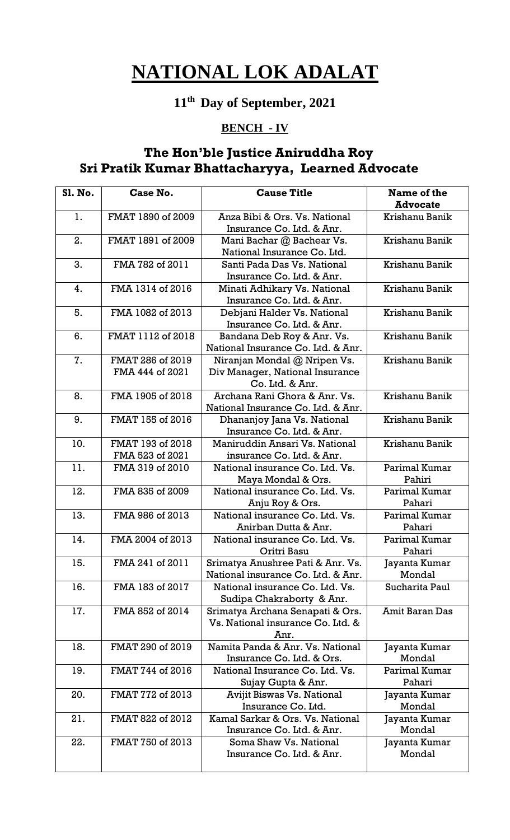## **11th Day of September, 2021**

### **BENCH - IV**

### **The Hon'ble Justice Aniruddha Roy Sri Pratik Kumar Bhattacharyya, Learned Advocate**

| 1.<br>FMAT 1890 of 2009<br>Anza Bibi & Ors. Vs. National                           | <b>Advocate</b><br>Krishanu Banik |
|------------------------------------------------------------------------------------|-----------------------------------|
|                                                                                    |                                   |
|                                                                                    |                                   |
| Insurance Co. Ltd. & Anr.                                                          |                                   |
| FMAT 1891 of 2009<br>2.<br>Mani Bachar @ Bachear Vs.                               | Krishanu Banik                    |
| National Insurance Co. Ltd.                                                        |                                   |
| 3.<br>Santi Pada Das Vs. National<br>FMA 782 of 2011                               | Krishanu Banik                    |
| Insurance Co. Ltd. & Anr.                                                          |                                   |
| FMA 1314 of 2016<br>Minati Adhikary Vs. National<br>4.                             | Krishanu Banik                    |
| Insurance Co. Ltd. & Anr.                                                          |                                   |
| 5.<br>FMA 1082 of 2013<br>Debjani Halder Vs. National                              | Krishanu Banik                    |
| Insurance Co. Ltd. & Anr.                                                          |                                   |
| FMAT 1112 of 2018<br>6.<br>Bandana Deb Roy & Anr. Vs.                              | Krishanu Banik                    |
| National Insurance Co. Ltd. & Anr.                                                 |                                   |
| 7.<br>FMAT 286 of 2019<br>Niranjan Mondal @ Nripen Vs.                             | Krishanu Banik                    |
| FMA 444 of 2021<br>Div Manager, National Insurance                                 |                                   |
| Co. Ltd. & Anr.                                                                    |                                   |
| FMA 1905 of 2018<br>Archana Rani Ghora & Anr. Vs.<br>8.                            | Krishanu Banik                    |
| National Insurance Co. Ltd. & Anr.                                                 |                                   |
| FMAT 155 of 2016<br>9.<br>Dhananjoy Jana Vs. National<br>Insurance Co. Ltd. & Anr. | Krishanu Banik                    |
| 10.<br>FMAT 193 of 2018<br>Maniruddin Ansari Vs. National                          | Krishanu Banik                    |
| FMA 523 of 2021<br>insurance Co. Ltd. & Anr.                                       |                                   |
| 11.<br>National insurance Co. Ltd. Vs.<br>FMA 319 of 2010                          | Parimal Kumar                     |
| Maya Mondal & Ors.                                                                 | Pahiri                            |
| 12.<br>FMA 835 of 2009<br>National insurance Co. Ltd. Vs.                          | Parimal Kumar                     |
| Anju Roy & Ors.                                                                    | Pahari                            |
| 13.<br>National insurance Co. Ltd. Vs.<br>FMA 986 of 2013                          | Parimal Kumar                     |
| Anirban Dutta & Anr.                                                               | Pahari                            |
| 14.<br>FMA 2004 of 2013<br>National insurance Co. Ltd. Vs.                         | Parimal Kumar                     |
| Oritri Basu                                                                        | Pahari                            |
| FMA 241 of 2011<br>15.<br>Srimatya Anushree Pati & Anr. Vs.                        | Jayanta Kumar                     |
| National insurance Co. Ltd. & Anr.                                                 | Mondal                            |
| 16.<br>FMA 183 of 2017<br>National insurance Co. Ltd. Vs.                          | Sucharita Paul                    |
| Sudipa Chakraborty & Anr.                                                          |                                   |
| 17.<br>FMA 852 of 2014<br>Srimatya Archana Senapati & Ors.                         | <b>Amit Baran Das</b>             |
| Vs. National insurance Co. Ltd. &                                                  |                                   |
| Anr.                                                                               |                                   |
| FMAT 290 of 2019<br>Namita Panda & Anr. Vs. National<br>18.                        | Jayanta Kumar                     |
| Insurance Co. Ltd. & Ors.                                                          | Mondal                            |
| 19.<br>FMAT 744 of 2016<br>National Insurance Co. Ltd. Vs.                         | Parimal Kumar                     |
| Sujay Gupta & Anr.                                                                 | Pahari                            |
| FMAT 772 of 2013<br>Avijit Biswas Vs. National<br>20.                              | Jayanta Kumar                     |
| Insurance Co. Ltd.                                                                 | Mondal                            |
| Kamal Sarkar & Ors. Vs. National<br>21.<br>FMAT 822 of 2012                        | Jayanta Kumar                     |
| Insurance Co. Ltd. & Anr.                                                          | Mondal                            |
| 22.<br>FMAT 750 of 2013<br>Soma Shaw Vs. National                                  | Jayanta Kumar                     |
| Insurance Co. Ltd. & Anr.                                                          | Mondal                            |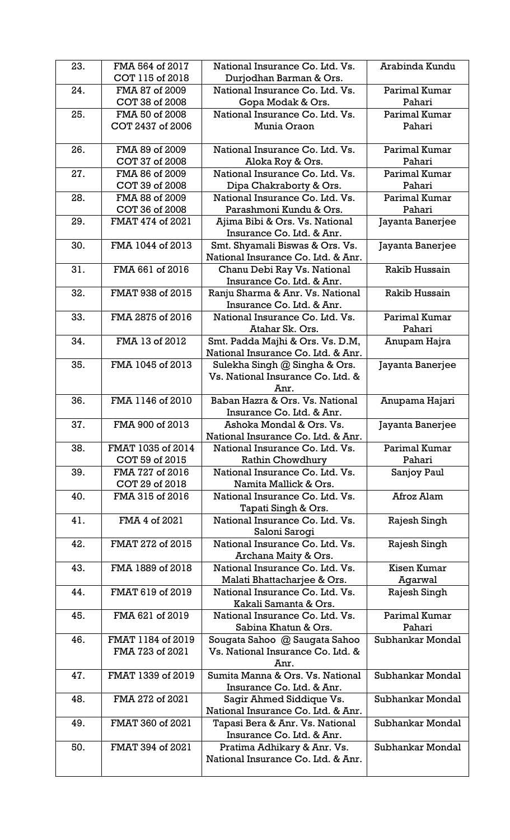| 23. | FMA 564 of 2017   | National Insurance Co. Ltd. Vs.                                | Arabinda Kundu   |
|-----|-------------------|----------------------------------------------------------------|------------------|
|     | COT 115 of 2018   | Durjodhan Barman & Ors.                                        |                  |
| 24. | FMA 87 of 2009    | National Insurance Co. Ltd. Vs.                                | Parimal Kumar    |
|     | COT 38 of 2008    | Gopa Modak & Ors.                                              | Pahari           |
| 25. | FMA 50 of 2008    | National Insurance Co. Ltd. Vs.                                | Parimal Kumar    |
|     | COT 2437 of 2006  | Munia Oraon                                                    | Pahari           |
|     |                   |                                                                |                  |
| 26. | FMA 89 of 2009    | National Insurance Co. Ltd. Vs.                                | Parimal Kumar    |
|     | COT 37 of 2008    | Aloka Roy & Ors.                                               | Pahari           |
| 27. | FMA 86 of 2009    | National Insurance Co. Ltd. Vs.                                | Parimal Kumar    |
|     | COT 39 of 2008    | Dipa Chakraborty & Ors.                                        | Pahari           |
| 28. | FMA 88 of 2009    | National Insurance Co. Ltd. Vs.                                | Parimal Kumar    |
|     | COT 36 of 2008    | Parashmoni Kundu & Ors.                                        | Pahari           |
| 29. | FMAT 474 of 2021  | Ajima Bibi & Ors. Vs. National                                 | Jayanta Banerjee |
|     |                   | Insurance Co. Ltd. & Anr.                                      |                  |
| 30. | FMA 1044 of 2013  | Smt. Shyamali Biswas & Ors. Vs.                                | Jayanta Banerjee |
|     |                   | National Insurance Co. Ltd. & Anr.                             |                  |
| 31. | FMA 661 of 2016   | Chanu Debi Ray Vs. National                                    | Rakib Hussain    |
|     |                   | Insurance Co. Ltd. & Anr.                                      |                  |
| 32. | FMAT 938 of 2015  | Ranju Sharma & Anr. Vs. National                               | Rakib Hussain    |
|     |                   | Insurance Co. Ltd. & Anr.                                      |                  |
| 33. | FMA 2875 of 2016  | National Insurance Co. Ltd. Vs.                                | Parimal Kumar    |
|     |                   | Atahar Sk. Ors.                                                | Pahari           |
| 34. | FMA 13 of 2012    | Smt. Padda Majhi & Ors. Vs. D.M,                               | Anupam Hajra     |
|     |                   | National Insurance Co. Ltd. & Anr.                             |                  |
| 35. | FMA 1045 of 2013  | Sulekha Singh @ Singha & Ors.                                  | Jayanta Banerjee |
|     |                   | Vs. National Insurance Co. Ltd. &                              |                  |
|     |                   | Anr.                                                           |                  |
| 36. | FMA 1146 of 2010  | Baban Hazra & Ors. Vs. National                                | Anupama Hajari   |
|     |                   | Insurance Co. Ltd. & Anr.                                      |                  |
| 37. | FMA 900 of 2013   | Ashoka Mondal & Ors. Vs.                                       | Jayanta Banerjee |
|     |                   | National Insurance Co. Ltd. & Anr.                             |                  |
| 38. | FMAT 1035 of 2014 | National Insurance Co. Ltd. Vs.                                | Parimal Kumar    |
|     | COT 59 of 2015    | Rathin Chowdhury                                               | Pahari           |
| 39. | FMA 727 of 2016   | National Insurance Co. Ltd. Vs.                                | Sanjoy Paul      |
|     | COT 29 of 2018    | Namita Mallick & Ors.                                          |                  |
| 40. | FMA 315 of 2016   | National Insurance Co. Ltd. Vs.                                | Afroz Alam       |
|     |                   | Tapati Singh & Ors.                                            |                  |
| 41. | FMA 4 of 2021     | National Insurance Co. Ltd. Vs.                                | Rajesh Singh     |
|     |                   | Saloni Sarogi                                                  |                  |
| 42. | FMAT 272 of 2015  | National Insurance Co. Ltd. Vs.                                | Rajesh Singh     |
|     |                   | Archana Maity & Ors.                                           |                  |
| 43. | FMA 1889 of 2018  | National Insurance Co. Ltd. Vs.                                | Kisen Kumar      |
|     |                   | Malati Bhattacharjee & Ors.                                    | Agarwal          |
| 44. | FMAT 619 of 2019  | National Insurance Co. Ltd. Vs.                                | Rajesh Singh     |
|     |                   | Kakali Samanta & Ors.                                          |                  |
| 45. | FMA 621 of 2019   | National Insurance Co. Ltd. Vs.                                | Parimal Kumar    |
|     |                   | Sabina Khatun & Ors.                                           | Pahari           |
| 46. | FMAT 1184 of 2019 | Sougata Sahoo @ Saugata Sahoo                                  | Subhankar Mondal |
|     | FMA 723 of 2021   | Vs. National Insurance Co. Ltd. &                              |                  |
|     |                   | Anr.                                                           |                  |
| 47. | FMAT 1339 of 2019 | Sumita Manna & Ors. Vs. National                               | Subhankar Mondal |
|     |                   | Insurance Co. Ltd. & Anr.                                      |                  |
| 48. | FMA 272 of 2021   |                                                                | Subhankar Mondal |
|     |                   | Sagir Ahmed Siddique Vs.<br>National Insurance Co. Ltd. & Anr. |                  |
|     |                   |                                                                | Subhankar Mondal |
| 49. | FMAT 360 of 2021  | Tapasi Bera & Anr. Vs. National                                |                  |
|     |                   | Insurance Co. Ltd. & Anr.                                      |                  |
| 50. | FMAT 394 of 2021  | Pratima Adhikary & Anr. Vs.                                    | Subhankar Mondal |
|     |                   | National Insurance Co. Ltd. & Anr.                             |                  |
|     |                   |                                                                |                  |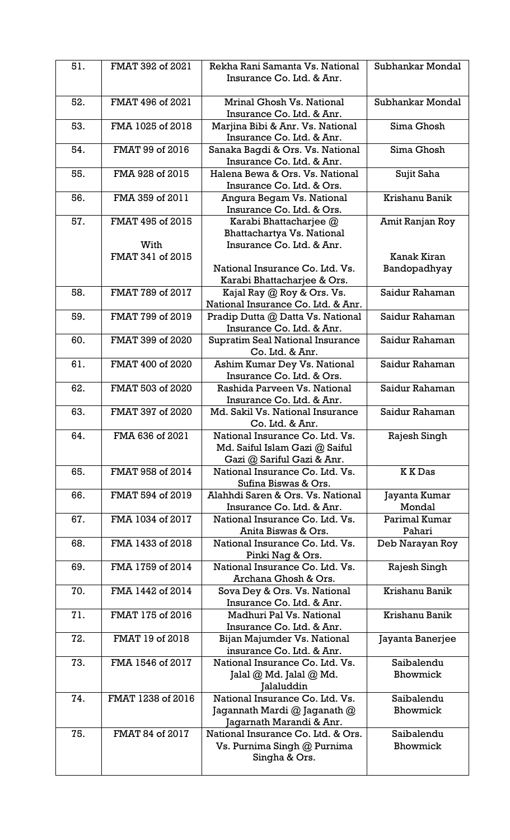| 51. | FMAT 392 of 2021         | Rekha Rani Samanta Vs. National<br>Insurance Co. Ltd. & Anr.                                    | Subhankar Mondal        |
|-----|--------------------------|-------------------------------------------------------------------------------------------------|-------------------------|
| 52. | FMAT 496 of 2021         | Mrinal Ghosh Vs. National<br>Insurance Co. Ltd. & Anr.                                          | Subhankar Mondal        |
| 53. | FMA 1025 of 2018         | Marjina Bibi & Anr. Vs. National<br>Insurance Co. Ltd. & Anr.                                   | Sima Ghosh              |
| 54. | FMAT 99 of 2016          | Sanaka Bagdi & Ors. Vs. National<br>Insurance Co. Ltd. & Anr.                                   | Sima Ghosh              |
| 55. | FMA 928 of 2015          | Halena Bewa & Ors. Vs. National<br>Insurance Co. Ltd. & Ors.                                    | Sujit Saha              |
| 56. | FMA 359 of 2011          | Angura Begam Vs. National<br>Insurance Co. Ltd. & Ors.                                          | Krishanu Banik          |
| 57. | FMAT 495 of 2015         | Karabi Bhattacharjee @<br>Bhattachartya Vs. National                                            | Amit Ranjan Roy         |
|     | With<br>FMAT 341 of 2015 | Insurance Co. Ltd. & Anr.                                                                       | Kanak Kiran             |
|     |                          | National Insurance Co. Ltd. Vs.<br>Karabi Bhattacharjee & Ors.                                  | Bandopadhyay            |
| 58. | FMAT 789 of 2017         | Kajal Ray @ Roy & Ors. Vs.<br>National Insurance Co. Ltd. & Anr.                                | Saidur Rahaman          |
| 59. | FMAT 799 of 2019         | Pradip Dutta @ Datta Vs. National<br>Insurance Co. Ltd. & Anr.                                  | Saidur Rahaman          |
| 60. | FMAT 399 of 2020         | <b>Supratim Seal National Insurance</b><br>Co. Ltd. & Anr.                                      | Saidur Rahaman          |
| 61. | FMAT 400 of 2020         | Ashim Kumar Dey Vs. National<br>Insurance Co. Ltd. & Ors.                                       | Saidur Rahaman          |
| 62. | FMAT 503 of 2020         | Rashida Parveen Vs. National<br>Insurance Co. Ltd. & Anr.                                       | Saidur Rahaman          |
| 63. | FMAT 397 of 2020         | Md. Sakil Vs. National Insurance<br>Co. Ltd. & Anr.                                             | Saidur Rahaman          |
| 64. | FMA 636 of 2021          | National Insurance Co. Ltd. Vs.<br>Md. Saiful Islam Gazi @ Saiful<br>Gazi @ Sariful Gazi & Anr. | Rajesh Singh            |
| 65. | FMAT 958 of 2014         | National Insurance Co. Ltd. Vs.<br>Sufina Biswas & Ors.                                         | <b>KKDas</b>            |
| 66. | FMAT 594 of 2019         | Alahhdi Saren & Ors. Vs. National<br>Insurance Co. Ltd. & Anr.                                  | Jayanta Kumar<br>Mondal |
| 67. | FMA 1034 of 2017         | National Insurance Co. Ltd. Vs.<br>Anita Biswas & Ors.                                          | Parimal Kumar<br>Pahari |
| 68. | FMA 1433 of 2018         | National Insurance Co. Ltd. Vs.<br>Pinki Nag & Ors.                                             | Deb Narayan Roy         |
| 69. | FMA 1759 of 2014         | National Insurance Co. Ltd. Vs.<br>Archana Ghosh & Ors.                                         | Rajesh Singh            |
| 70. | FMA 1442 of 2014         | Sova Dey & Ors. Vs. National<br>Insurance Co. Ltd. & Anr.                                       | Krishanu Banik          |
| 71. | FMAT 175 of 2016         | Madhuri Pal Vs. National<br>Insurance Co. Ltd. & Anr.                                           | Krishanu Banik          |
| 72. | FMAT 19 of 2018          | Bijan Majumder Vs. National<br>insurance Co. Ltd. & Anr.                                        | Jayanta Banerjee        |
| 73. | FMA 1546 of 2017         | National Insurance Co. Ltd. Vs.<br>Jalal $@$ Md. Jalal $@$ Md.<br>Jalaluddin                    | Saibalendu<br>Bhowmick  |
| 74. | FMAT 1238 of 2016        | National Insurance Co. Ltd. Vs.<br>Jagannath Mardi @ Jaganath @<br>Jagarnath Marandi & Anr.     | Saibalendu<br>Bhowmick  |
| 75. | FMAT 84 of 2017          | National Insurance Co. Ltd. & Ors.<br>Vs. Purnima Singh @ Purnima<br>Singha & Ors.              | Saibalendu<br>Bhowmick  |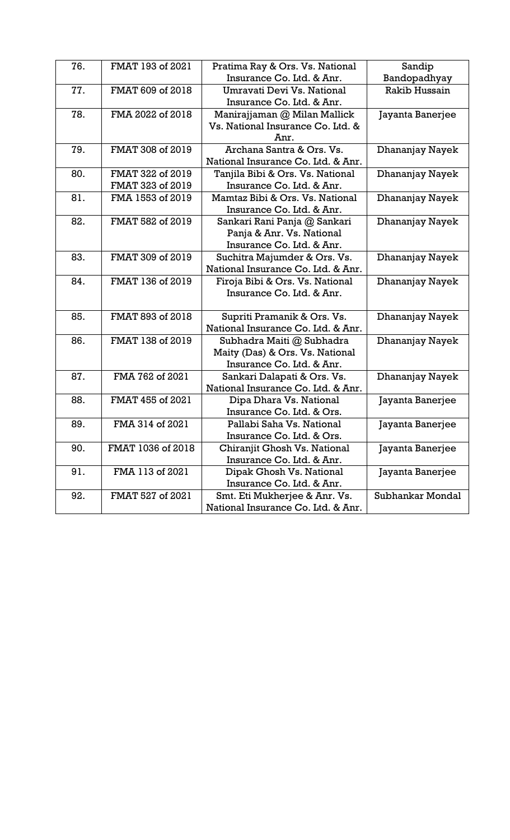| 76. | FMAT 193 of 2021  | Pratima Ray & Ors. Vs. National    | Sandip           |
|-----|-------------------|------------------------------------|------------------|
|     |                   | Insurance Co. Ltd. & Anr.          | Bandopadhyay     |
| 77. | FMAT 609 of 2018  | Umravati Devi Vs. National         | Rakib Hussain    |
|     |                   | Insurance Co. Ltd. & Anr.          |                  |
| 78. | FMA 2022 of 2018  | Manirajjaman @ Milan Mallick       | Jayanta Banerjee |
|     |                   | Vs. National Insurance Co. Ltd. &  |                  |
|     |                   | Anr.                               |                  |
| 79. | FMAT 308 of 2019  | Archana Santra & Ors. Vs.          | Dhananjay Nayek  |
|     |                   | National Insurance Co. Ltd. & Anr. |                  |
| 80. | FMAT 322 of 2019  | Tanjila Bibi & Ors. Vs. National   | Dhananjay Nayek  |
|     | FMAT 323 of 2019  | Insurance Co. Ltd. & Anr.          |                  |
| 81. | FMA 1553 of 2019  | Mamtaz Bibi & Ors. Vs. National    | Dhananjay Nayek  |
|     |                   | Insurance Co. Ltd. & Anr.          |                  |
| 82. | FMAT 582 of 2019  | Sankari Rani Panja @ Sankari       | Dhananjay Nayek  |
|     |                   | Panja & Anr. Vs. National          |                  |
|     |                   | Insurance Co. Ltd. & Anr.          |                  |
| 83. | FMAT 309 of 2019  | Suchitra Majumder & Ors. Vs.       | Dhananjay Nayek  |
|     |                   | National Insurance Co. Ltd. & Anr. |                  |
| 84. | FMAT 136 of 2019  | Firoja Bibi & Ors. Vs. National    | Dhananjay Nayek  |
|     |                   | Insurance Co. Ltd. & Anr.          |                  |
|     |                   |                                    |                  |
| 85. | FMAT 893 of 2018  | Supriti Pramanik & Ors. Vs.        | Dhananjay Nayek  |
|     |                   | National Insurance Co. Ltd. & Anr. |                  |
| 86. | FMAT 138 of 2019  | Subhadra Maiti @ Subhadra          | Dhananjay Nayek  |
|     |                   | Maity (Das) & Ors. Vs. National    |                  |
|     |                   | Insurance Co. Ltd. & Anr.          |                  |
| 87. | FMA 762 of 2021   | Sankari Dalapati & Ors. Vs.        | Dhananjay Nayek  |
|     |                   | National Insurance Co. Ltd. & Anr. |                  |
| 88. | FMAT 455 of 2021  | Dipa Dhara Vs. National            | Jayanta Banerjee |
|     |                   | Insurance Co. Ltd. & Ors.          |                  |
| 89. | FMA 314 of 2021   | Pallabi Saha Vs. National          | Jayanta Banerjee |
|     |                   | Insurance Co. Ltd. & Ors.          |                  |
| 90. | FMAT 1036 of 2018 | Chiranjit Ghosh Vs. National       | Jayanta Banerjee |
|     |                   | Insurance Co. Ltd. & Anr.          |                  |
| 91. | FMA 113 of 2021   | Dipak Ghosh Vs. National           | Jayanta Banerjee |
|     |                   | Insurance Co. Ltd. & Anr.          |                  |
| 92. | FMAT 527 of 2021  | Smt. Eti Mukherjee & Anr. Vs.      | Subhankar Mondal |
|     |                   | National Insurance Co. Ltd. & Anr. |                  |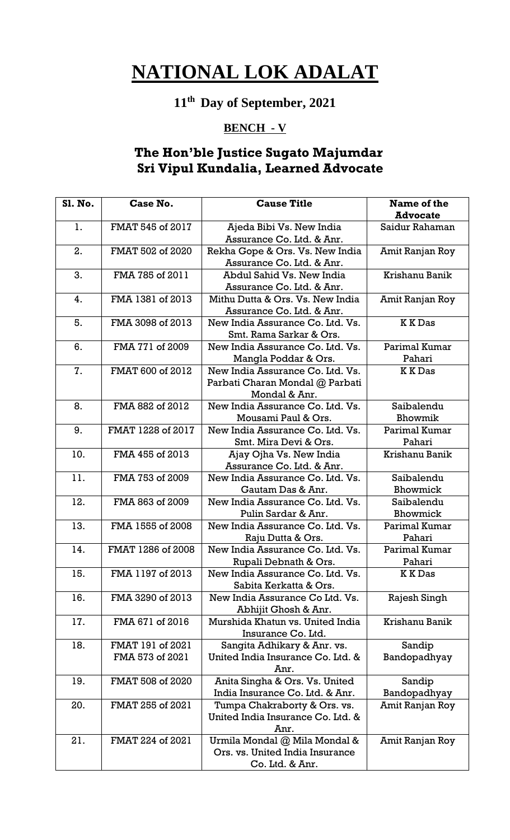### **11th Day of September, 2021**

#### **BENCH - V**

### **The Hon'ble Justice Sugato Majumdar Sri Vipul Kundalia, Learned Advocate**

| Sl. No. | Case No.          | <b>Cause Title</b>                                                | Name of the                     |
|---------|-------------------|-------------------------------------------------------------------|---------------------------------|
|         |                   |                                                                   | <b>Advocate</b>                 |
| 1.      | FMAT 545 of 2017  | Ajeda Bibi Vs. New India                                          | Saidur Rahaman                  |
|         |                   | Assurance Co. Ltd. & Anr.                                         |                                 |
| 2.      | FMAT 502 of 2020  | Rekha Gope & Ors. Vs. New India                                   | Amit Ranjan Roy                 |
|         |                   | Assurance Co. Ltd. & Anr.                                         |                                 |
| 3.      | FMA 785 of 2011   | Abdul Sahid Vs. New India                                         | Krishanu Banik                  |
|         |                   | Assurance Co. Ltd. & Anr.                                         |                                 |
| 4.      | FMA 1381 of 2013  | Mithu Dutta & Ors. Vs. New India                                  | Amit Ranjan Roy                 |
|         |                   | Assurance Co. Ltd. & Anr.                                         |                                 |
| 5.      | FMA 3098 of 2013  | New India Assurance Co. Ltd. Vs.                                  | <b>KKDas</b>                    |
|         |                   | Smt. Rama Sarkar & Ors.                                           |                                 |
| 6.      | FMA 771 of 2009   | New India Assurance Co. Ltd. Vs.                                  | Parimal Kumar                   |
|         |                   | Mangla Poddar & Ors.                                              | Pahari                          |
| 7.      | FMAT 600 of 2012  | New India Assurance Co. Ltd. Vs.                                  | <b>KKDas</b>                    |
|         |                   | Parbati Charan Mondal @ Parbati                                   |                                 |
|         |                   | Mondal & Anr.                                                     |                                 |
| 8.      | FMA 882 of 2012   | New India Assurance Co. Ltd. Vs.                                  | Saibalendu                      |
|         |                   | Mousami Paul & Ors.                                               | Bhowmik                         |
| 9.      | FMAT 1228 of 2017 | New India Assurance Co. Ltd. Vs.                                  | Parimal Kumar                   |
|         |                   | Smt. Mira Devi & Ors.                                             | Pahari                          |
| 10.     | FMA 455 of 2013   | Ajay Ojha Vs. New India                                           | Krishanu Banik                  |
|         |                   | Assurance Co. Ltd. & Anr.                                         |                                 |
| 11.     | FMA 753 of 2009   | New India Assurance Co. Ltd. Vs.                                  | Saibalendu                      |
|         |                   | Gautam Das & Anr.                                                 | Bhowmick                        |
| 12.     | FMA 863 of 2009   | New India Assurance Co. Ltd. Vs.                                  | Saibalendu                      |
|         |                   | Pulin Sardar & Anr.                                               | Bhowmick                        |
| 13.     | FMA 1555 of 2008  | New India Assurance Co. Ltd. Vs.                                  | Parimal Kumar                   |
|         |                   | Raju Dutta & Ors.                                                 | Pahari                          |
| 14.     | FMAT 1286 of 2008 | New India Assurance Co. Ltd. Vs.                                  | Parimal Kumar                   |
|         |                   | Rupali Debnath & Ors.                                             | Pahari                          |
| 15.     | FMA 1197 of 2013  | New India Assurance Co. Ltd. Vs.                                  | <b>KKDas</b>                    |
|         |                   | Sabita Kerkatta & Ors.                                            |                                 |
| 16.     | FMA 3290 of 2013  | New India Assurance Co Ltd. Vs.                                   | Rajesh Singh                    |
|         |                   | Abhijit Ghosh & Anr.                                              |                                 |
| 17.     | FMA 671 of 2016   | Murshida Khatun vs. United India                                  | Krishanu Banik                  |
|         |                   | Insurance Co. Ltd.                                                |                                 |
| 18.     | FMAT 191 of 2021  | Sangita Adhikary & Anr. vs.                                       | Sandip                          |
|         | FMA 573 of 2021   | United India Insurance Co. Ltd. &<br>Anr.                         | Bandopadhyay                    |
|         |                   |                                                                   |                                 |
| 19.     | FMAT 508 of 2020  | Anita Singha & Ors. Vs. United<br>India Insurance Co. Ltd. & Anr. | Sandip                          |
| 20.     | FMAT 255 of 2021  | Tumpa Chakraborty & Ors. vs.                                      | Bandopadhyay<br>Amit Ranjan Roy |
|         |                   | United India Insurance Co. Ltd. &                                 |                                 |
|         |                   | Anr.                                                              |                                 |
| 21.     | FMAT 224 of 2021  | Urmila Mondal @ Mila Mondal &                                     | Amit Ranjan Roy                 |
|         |                   | Ors. vs. United India Insurance                                   |                                 |
|         |                   | Co. Ltd. & Anr.                                                   |                                 |
|         |                   |                                                                   |                                 |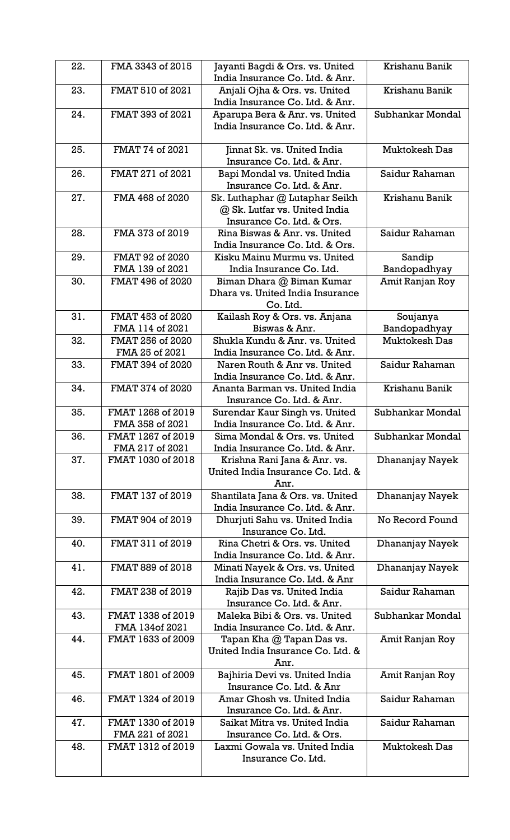| 22. | FMA 3343 of 2015                     | Jayanti Bagdi & Ors. vs. United<br>India Insurance Co. Ltd. & Anr.                           | Krishanu Banik           |
|-----|--------------------------------------|----------------------------------------------------------------------------------------------|--------------------------|
| 23. | FMAT 510 of 2021                     | Anjali Ojha & Ors. vs. United                                                                | Krishanu Banik           |
| 24. | FMAT 393 of 2021                     | India Insurance Co. Ltd. & Anr.<br>Aparupa Bera & Anr. vs. United                            | Subhankar Mondal         |
|     |                                      | India Insurance Co. Ltd. & Anr.                                                              |                          |
| 25. | FMAT 74 of 2021                      | Jinnat Sk. vs. United India<br>Insurance Co. Ltd. & Anr.                                     | <b>Muktokesh Das</b>     |
| 26. | FMAT 271 of 2021                     | Bapi Mondal vs. United India<br>Insurance Co. Ltd. & Anr.                                    | Saidur Rahaman           |
| 27. | FMA 468 of 2020                      | Sk. Luthaphar @ Lutaphar Seikh<br>@ Sk. Lutfar vs. United India<br>Insurance Co. Ltd. & Ors. | Krishanu Banik           |
| 28. | FMA 373 of 2019                      | Rina Biswas & Anr. vs. United<br>India Insurance Co. Ltd. & Ors.                             | Saidur Rahaman           |
| 29. | FMAT 92 of 2020                      | Kisku Mainu Murmu vs. United                                                                 | Sandip                   |
|     | FMA 139 of 2021                      | India Insurance Co. Ltd.                                                                     | Bandopadhyay             |
| 30. | FMAT 496 of 2020                     | Biman Dhara @ Biman Kumar<br>Dhara vs. United India Insurance<br>Co. Ltd.                    | Amit Ranjan Roy          |
| 31. | FMAT 453 of 2020<br>FMA 114 of 2021  | Kailash Roy & Ors. vs. Anjana<br>Biswas & Anr.                                               | Soujanya<br>Bandopadhyay |
| 32. | FMAT 256 of 2020                     | Shukla Kundu & Anr. vs. United                                                               | <b>Muktokesh Das</b>     |
|     | FMA 25 of 2021                       | India Insurance Co. Ltd. & Anr.                                                              |                          |
| 33. | FMAT 394 of 2020                     | Naren Routh & Anr vs. United<br>India Insurance Co. Ltd. & Anr.                              | Saidur Rahaman           |
| 34. | FMAT 374 of 2020                     | Ananta Barman vs. United India<br>Insurance Co. Ltd. & Anr.                                  | Krishanu Banik           |
| 35. | FMAT 1268 of 2019<br>FMA 358 of 2021 | Surendar Kaur Singh vs. United<br>India Insurance Co. Ltd. & Anr.                            | Subhankar Mondal         |
| 36. | FMAT 1267 of 2019<br>FMA 217 of 2021 | Sima Mondal & Ors. vs. United<br>India Insurance Co. Ltd. & Anr.                             | Subhankar Mondal         |
| 37. | FMAT 1030 of 2018                    | Krishna Rani Jana & Anr. vs.<br>United India Insurance Co. Ltd. &<br>Anr.                    | Dhananjay Nayek          |
| 38. | FMAT 137 of 2019                     | Shantilata Jana & Ors. vs. United<br>India Insurance Co. Ltd. & Anr.                         | Dhananjay Nayek          |
| 39. | FMAT 904 of 2019                     | Dhurjuti Sahu vs. United India<br>Insurance Co. Ltd.                                         | No Record Found          |
| 40. | FMAT 311 of 2019                     | Rina Chetri & Ors. vs. United<br>India Insurance Co. Ltd. & Anr.                             | Dhananjay Nayek          |
| 41. | FMAT 889 of 2018                     | Minati Nayek & Ors. vs. United<br>India Insurance Co. Ltd. & Anr                             | Dhananjay Nayek          |
| 42. | FMAT 238 of 2019                     | Rajib Das vs. United India<br>Insurance Co. Ltd. & Anr.                                      | Saidur Rahaman           |
| 43. | FMAT 1338 of 2019<br>FMA 134of 2021  | Maleka Bibi & Ors. vs. United<br>India Insurance Co. Ltd. & Anr.                             | Subhankar Mondal         |
| 44. | FMAT 1633 of 2009                    | Tapan Kha @ Tapan Das vs.<br>United India Insurance Co. Ltd. &<br>Anr.                       | Amit Ranjan Roy          |
| 45. | FMAT 1801 of 2009                    | Bajhiria Devi vs. United India<br>Insurance Co. Ltd. & Anr                                   | Amit Ranjan Roy          |
| 46. | FMAT 1324 of 2019                    | Amar Ghosh vs. United India<br>Insurance Co. Ltd. & Anr.                                     | Saidur Rahaman           |
| 47. | FMAT 1330 of 2019<br>FMA 221 of 2021 | Saikat Mitra vs. United India<br>Insurance Co. Ltd. & Ors.                                   | Saidur Rahaman           |
| 48. | FMAT 1312 of 2019                    | Laxmi Gowala vs. United India<br>Insurance Co. Ltd.                                          | <b>Muktokesh Das</b>     |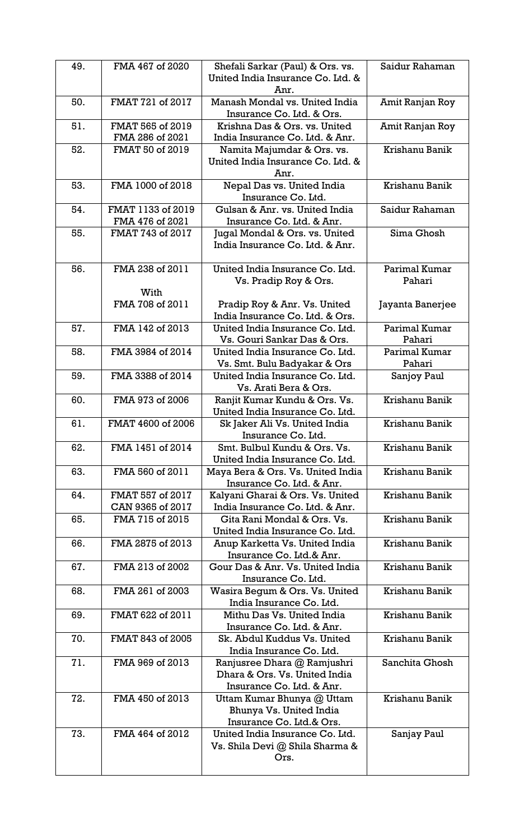| 49. | FMA 467 of 2020                      | Shefali Sarkar (Paul) & Ors. vs.<br>United India Insurance Co. Ltd. &<br>Anr.             | Saidur Rahaman          |
|-----|--------------------------------------|-------------------------------------------------------------------------------------------|-------------------------|
| 50. | FMAT 721 of 2017                     | Manash Mondal vs. United India<br>Insurance Co. Ltd. & Ors.                               | Amit Ranjan Roy         |
| 51. | FMAT 565 of 2019<br>FMA 286 of 2021  | Krishna Das & Ors. vs. United<br>India Insurance Co. Ltd. & Anr.                          | Amit Ranjan Roy         |
| 52. | FMAT 50 of 2019                      | Namita Majumdar & Ors. vs.<br>United India Insurance Co. Ltd. &<br>Anr.                   | Krishanu Banik          |
| 53. | FMA 1000 of 2018                     | Nepal Das vs. United India<br>Insurance Co. Ltd.                                          | Krishanu Banik          |
| 54. | FMAT 1133 of 2019<br>FMA 476 of 2021 | Gulsan & Anr. vs. United India<br>Insurance Co. Ltd. & Anr.                               | Saidur Rahaman          |
| 55. | FMAT 743 of 2017                     | Jugal Mondal & Ors. vs. United<br>India Insurance Co. Ltd. & Anr.                         | Sima Ghosh              |
| 56. | FMA 238 of 2011<br>With              | United India Insurance Co. Ltd.<br>Vs. Pradip Roy & Ors.                                  | Parimal Kumar<br>Pahari |
|     | FMA 708 of 2011                      | Pradip Roy & Anr. Vs. United<br>India Insurance Co. Ltd. & Ors.                           | Jayanta Banerjee        |
| 57. | FMA 142 of 2013                      | United India Insurance Co. Ltd.<br>Vs. Gouri Sankar Das & Ors.                            | Parimal Kumar<br>Pahari |
| 58. | FMA 3984 of 2014                     | United India Insurance Co. Ltd.<br>Vs. Smt. Bulu Badyakar & Ors                           | Parimal Kumar<br>Pahari |
| 59. | FMA 3388 of 2014                     | United India Insurance Co. Ltd.<br>Vs. Arati Bera & Ors.                                  | Sanjoy Paul             |
| 60. | FMA 973 of 2006                      | Ranjit Kumar Kundu & Ors. Vs.<br>United India Insurance Co. Ltd.                          | Krishanu Banik          |
| 61. | FMAT 4600 of 2006                    | Sk Jaker Ali Vs. United India<br>Insurance Co. Ltd.                                       | Krishanu Banik          |
| 62. | FMA 1451 of 2014                     | Smt. Bulbul Kundu & Ors. Vs.<br>United India Insurance Co. Ltd.                           | Krishanu Banik          |
| 63. | FMA 560 of 2011                      | Maya Bera & Ors. Vs. United India<br>Insurance Co. Ltd. & Anr.                            | Krishanu Banik          |
| 64. | FMAT 557 of 2017<br>CAN 9365 of 2017 | Kalyani Gharai & Ors. Vs. United<br>India Insurance Co. Ltd. & Anr.                       | Krishanu Banik          |
| 65. | FMA 715 of 2015                      | Gita Rani Mondal & Ors. Vs.<br>United India Insurance Co. Ltd.                            | Krishanu Banik          |
| 66. | FMA 2875 of 2013                     | Anup Karketta Vs. United India<br>Insurance Co. Ltd.& Anr.                                | Krishanu Banik          |
| 67. | FMA 213 of 2002                      | Gour Das & Anr. Vs. United India<br>Insurance Co. Ltd.                                    | Krishanu Banik          |
| 68. | FMA 261 of 2003                      | Wasira Begum & Ors. Vs. United<br>India Insurance Co. Ltd.                                | Krishanu Banik          |
| 69. | FMAT 622 of 2011                     | Mithu Das Vs. United India<br>Insurance Co. Ltd. & Anr.                                   | Krishanu Banik          |
| 70. | FMAT 843 of 2005                     | Sk. Abdul Kuddus Vs. United<br>India Insurance Co. Ltd.                                   | Krishanu Banik          |
| 71. | FMA 969 of 2013                      | Ranjusree Dhara @ Ramjushri<br>Dhara & Ors. Vs. United India<br>Insurance Co. Ltd. & Anr. | Sanchita Ghosh          |
| 72. | FMA 450 of 2013                      | Uttam Kumar Bhunya @ Uttam<br>Bhunya Vs. United India<br>Insurance Co. Ltd.& Ors.         | Krishanu Banik          |
| 73. | FMA 464 of 2012                      | United India Insurance Co. Ltd.<br>Vs. Shila Devi @ Shila Sharma &<br>Ors.                | Sanjay Paul             |